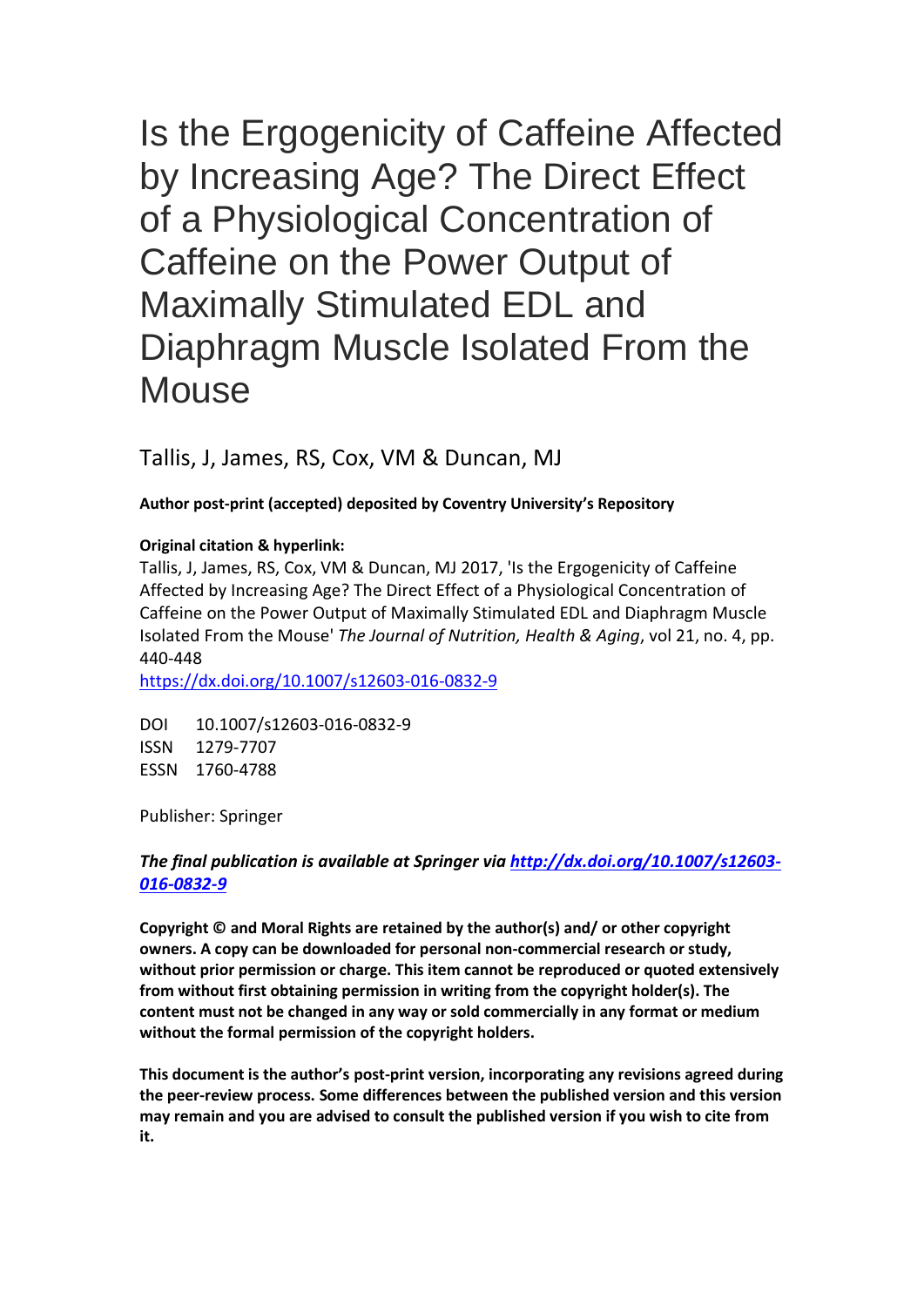Is the Ergogenicity of Caffeine Affected by Increasing Age? The Direct Effect of a Physiological Concentration of Caffeine on the Power Output of Maximally Stimulated EDL and Diaphragm Muscle Isolated From the **Mouse** 

Tallis, J, James, RS, Cox, VM & Duncan, MJ

# **Author post-print (accepted) deposited by Coventry University's Repository**

## **Original citation & hyperlink:**

Tallis, J, James, RS, Cox, VM & Duncan, MJ 2017, 'Is the Ergogenicity of Caffeine Affected by Increasing Age? The Direct Effect of a Physiological Concentration of Caffeine on the Power Output of Maximally Stimulated EDL and Diaphragm Muscle Isolated From the Mouse' *The Journal of Nutrition, Health & Aging*, vol 21, no. 4, pp. 440-448

<https://dx.doi.org/10.1007/s12603-016-0832-9>

DOI 10.1007/s12603-016-0832-9 ISSN 1279-7707 ESSN 1760-4788

Publisher: Springer

# *The final publication is available at Springer via [http://dx.doi.org/10.1007/s12603-](http://dx.doi.org/10.1007/s12603-016-0832-9) [016-0832-9](http://dx.doi.org/10.1007/s12603-016-0832-9)*

**Copyright © and Moral Rights are retained by the author(s) and/ or other copyright owners. A copy can be downloaded for personal non-commercial research or study, without prior permission or charge. This item cannot be reproduced or quoted extensively from without first obtaining permission in writing from the copyright holder(s). The content must not be changed in any way or sold commercially in any format or medium without the formal permission of the copyright holders.** 

**This document is the author's post-print version, incorporating any revisions agreed during the peer-review process. Some differences between the published version and this version may remain and you are advised to consult the published version if you wish to cite from it.**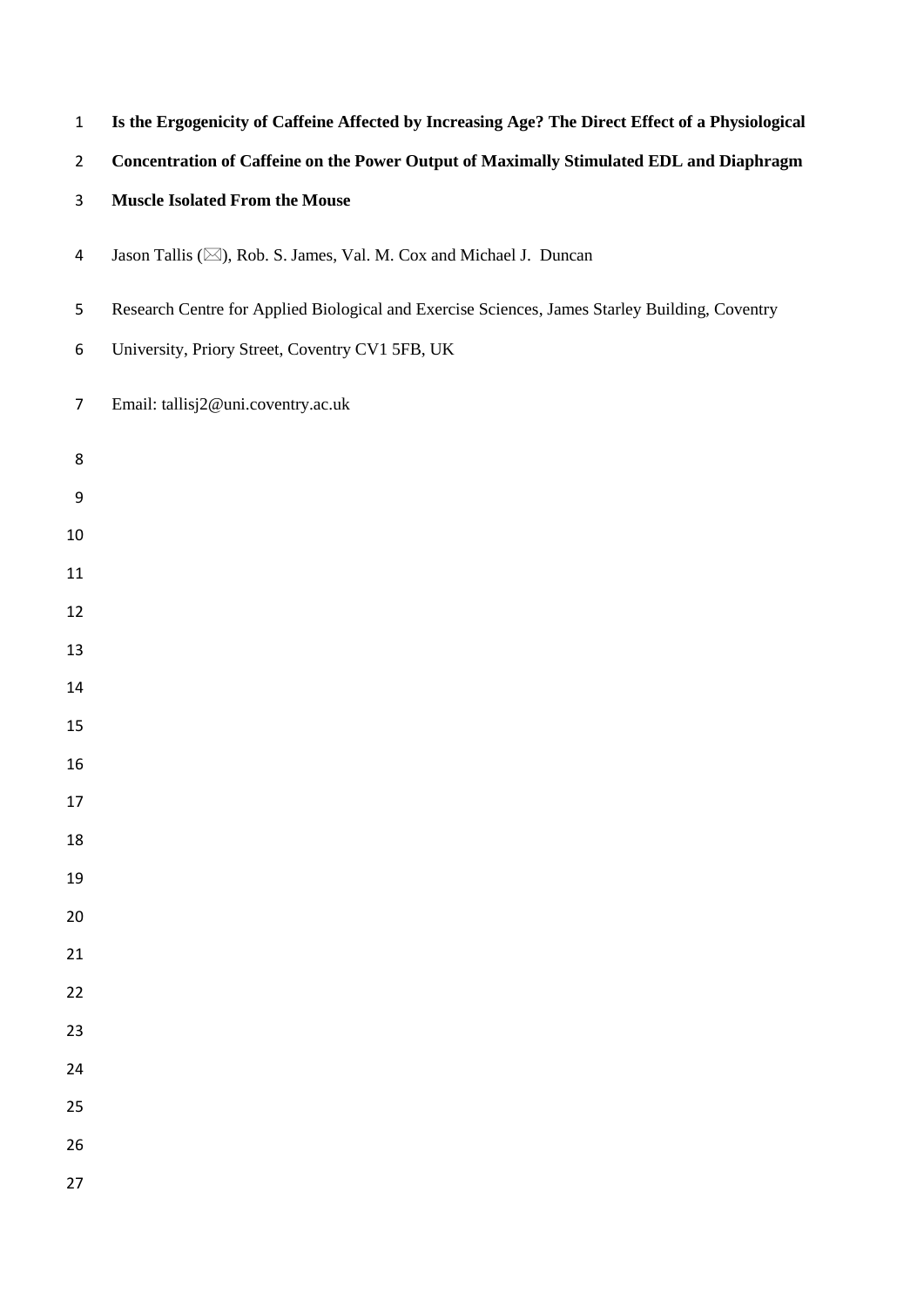| $\mathbf 1$    | Is the Ergogenicity of Caffeine Affected by Increasing Age? The Direct Effect of a Physiological |
|----------------|--------------------------------------------------------------------------------------------------|
| $\overline{2}$ | Concentration of Caffeine on the Power Output of Maximally Stimulated EDL and Diaphragm          |
| 3              | <b>Muscle Isolated From the Mouse</b>                                                            |
| 4              | Jason Tallis (X), Rob. S. James, Val. M. Cox and Michael J. Duncan                               |
| 5              | Research Centre for Applied Biological and Exercise Sciences, James Starley Building, Coventry   |
| 6              | University, Priory Street, Coventry CV1 5FB, UK                                                  |
| $\overline{7}$ | Email: tallisj2@uni.coventry.ac.uk                                                               |
| 8              |                                                                                                  |
| 9              |                                                                                                  |
| 10             |                                                                                                  |
| 11             |                                                                                                  |
| 12             |                                                                                                  |
| 13             |                                                                                                  |
| 14             |                                                                                                  |
| 15             |                                                                                                  |
| 16             |                                                                                                  |
| 17             |                                                                                                  |
| 18             |                                                                                                  |
| 19             |                                                                                                  |
| 20             |                                                                                                  |
| 21             |                                                                                                  |
| 22             |                                                                                                  |
| 23             |                                                                                                  |
| 24             |                                                                                                  |
| 25             |                                                                                                  |
| 26             |                                                                                                  |
| 27             |                                                                                                  |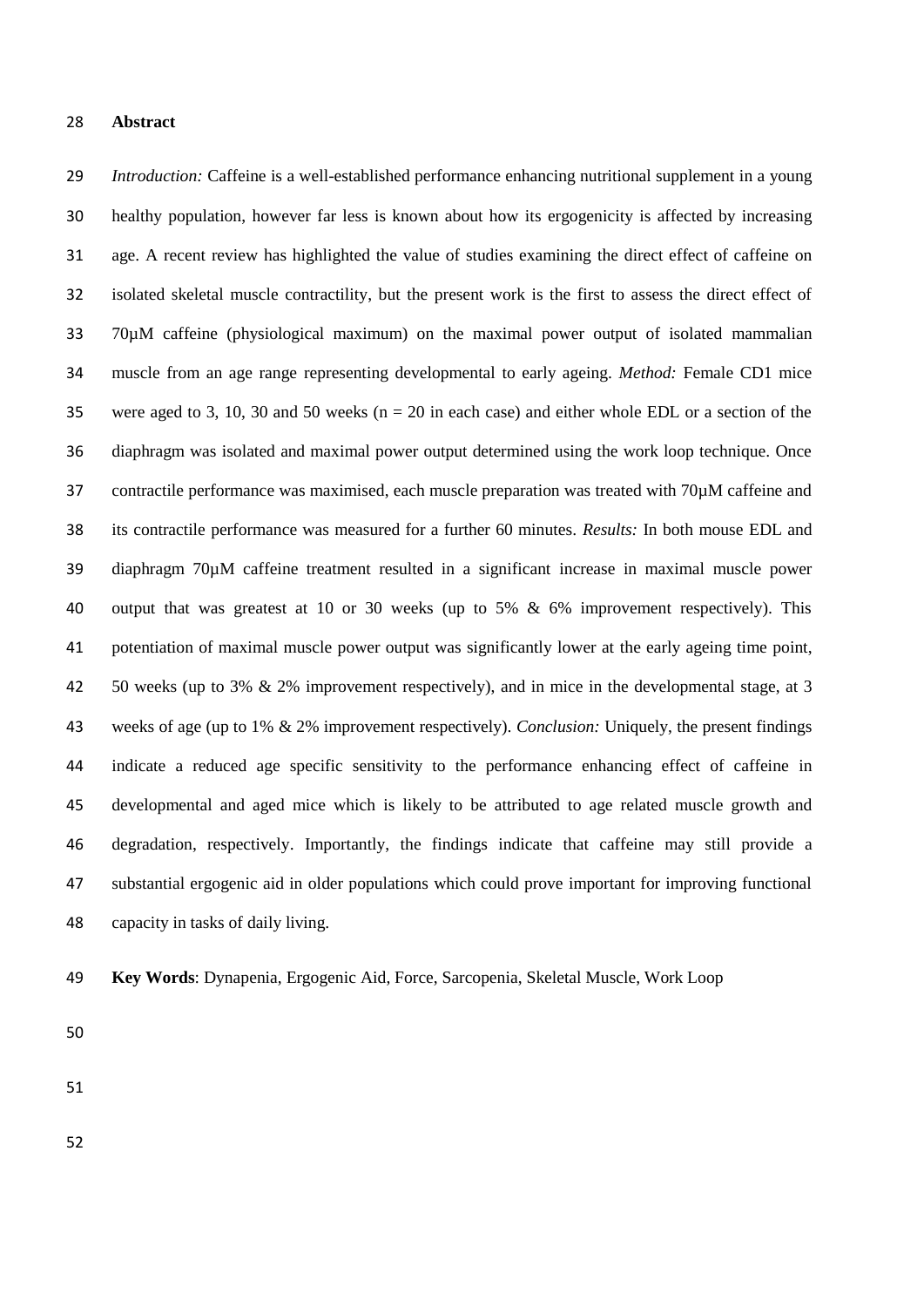#### **Abstract**

 *Introduction:* Caffeine is a well-established performance enhancing nutritional supplement in a young healthy population, however far less is known about how its ergogenicity is affected by increasing age. A recent review has highlighted the value of studies examining the direct effect of caffeine on isolated skeletal muscle contractility, but the present work is the first to assess the direct effect of 70µM caffeine (physiological maximum) on the maximal power output of isolated mammalian muscle from an age range representing developmental to early ageing. *Method:* Female CD1 mice were aged to 3, 10, 30 and 50 weeks (n = 20 in each case) and either whole EDL or a section of the diaphragm was isolated and maximal power output determined using the work loop technique. Once 37 contractile performance was maximised, each muscle preparation was treated with 70 $\mu$ M caffeine and its contractile performance was measured for a further 60 minutes. *Results:* In both mouse EDL and diaphragm 70µM caffeine treatment resulted in a significant increase in maximal muscle power output that was greatest at 10 or 30 weeks (up to 5% & 6% improvement respectively). This potentiation of maximal muscle power output was significantly lower at the early ageing time point, 50 weeks (up to 3% & 2% improvement respectively), and in mice in the developmental stage, at 3 weeks of age (up to 1% & 2% improvement respectively). *Conclusion:* Uniquely, the present findings indicate a reduced age specific sensitivity to the performance enhancing effect of caffeine in developmental and aged mice which is likely to be attributed to age related muscle growth and degradation, respectively. Importantly, the findings indicate that caffeine may still provide a substantial ergogenic aid in older populations which could prove important for improving functional capacity in tasks of daily living.

**Key Words**: Dynapenia, Ergogenic Aid, Force, Sarcopenia, Skeletal Muscle, Work Loop

- 
-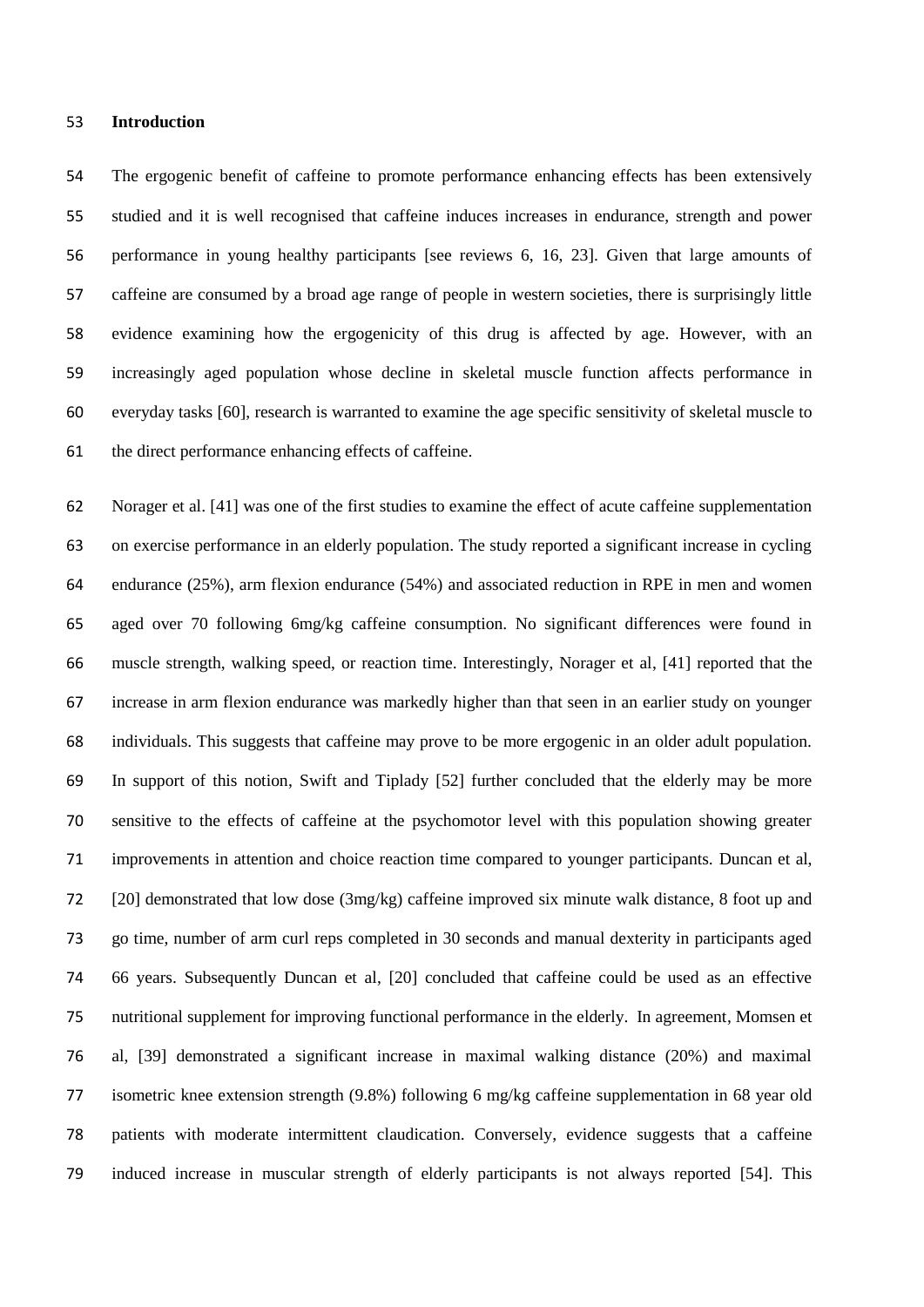#### **Introduction**

 The ergogenic benefit of caffeine to promote performance enhancing effects has been extensively studied and it is well recognised that caffeine induces increases in endurance, strength and power performance in young healthy participants [see reviews 6, 16, 23]. Given that large amounts of caffeine are consumed by a broad age range of people in western societies, there is surprisingly little evidence examining how the ergogenicity of this drug is affected by age. However, with an increasingly aged population whose decline in skeletal muscle function affects performance in everyday tasks [60], research is warranted to examine the age specific sensitivity of skeletal muscle to the direct performance enhancing effects of caffeine.

 Norager et al. [41] was one of the first studies to examine the effect of acute caffeine supplementation on exercise performance in an elderly population. The study reported a significant increase in cycling endurance (25%), arm flexion endurance (54%) and associated reduction in RPE in men and women aged over 70 following 6mg/kg caffeine consumption. No significant differences were found in muscle strength, walking speed, or reaction time. Interestingly, Norager et al, [41] reported that the increase in arm flexion endurance was markedly higher than that seen in an earlier study on younger individuals. This suggests that caffeine may prove to be more ergogenic in an older adult population. In support of this notion, Swift and Tiplady [52] further concluded that the elderly may be more sensitive to the effects of caffeine at the psychomotor level with this population showing greater improvements in attention and choice reaction time compared to younger participants. Duncan et al, [20] demonstrated that low dose (3mg/kg) caffeine improved six minute walk distance, 8 foot up and go time, number of arm curl reps completed in 30 seconds and manual dexterity in participants aged 66 years. Subsequently Duncan et al, [20] concluded that caffeine could be used as an effective nutritional supplement for improving functional performance in the elderly. In agreement, Momsen et al, [39] demonstrated a significant increase in maximal walking distance (20%) and maximal isometric knee extension strength (9.8%) following 6 mg/kg caffeine supplementation in 68 year old patients with moderate intermittent claudication. Conversely, evidence suggests that a caffeine induced increase in muscular strength of elderly participants is not always reported [54]. This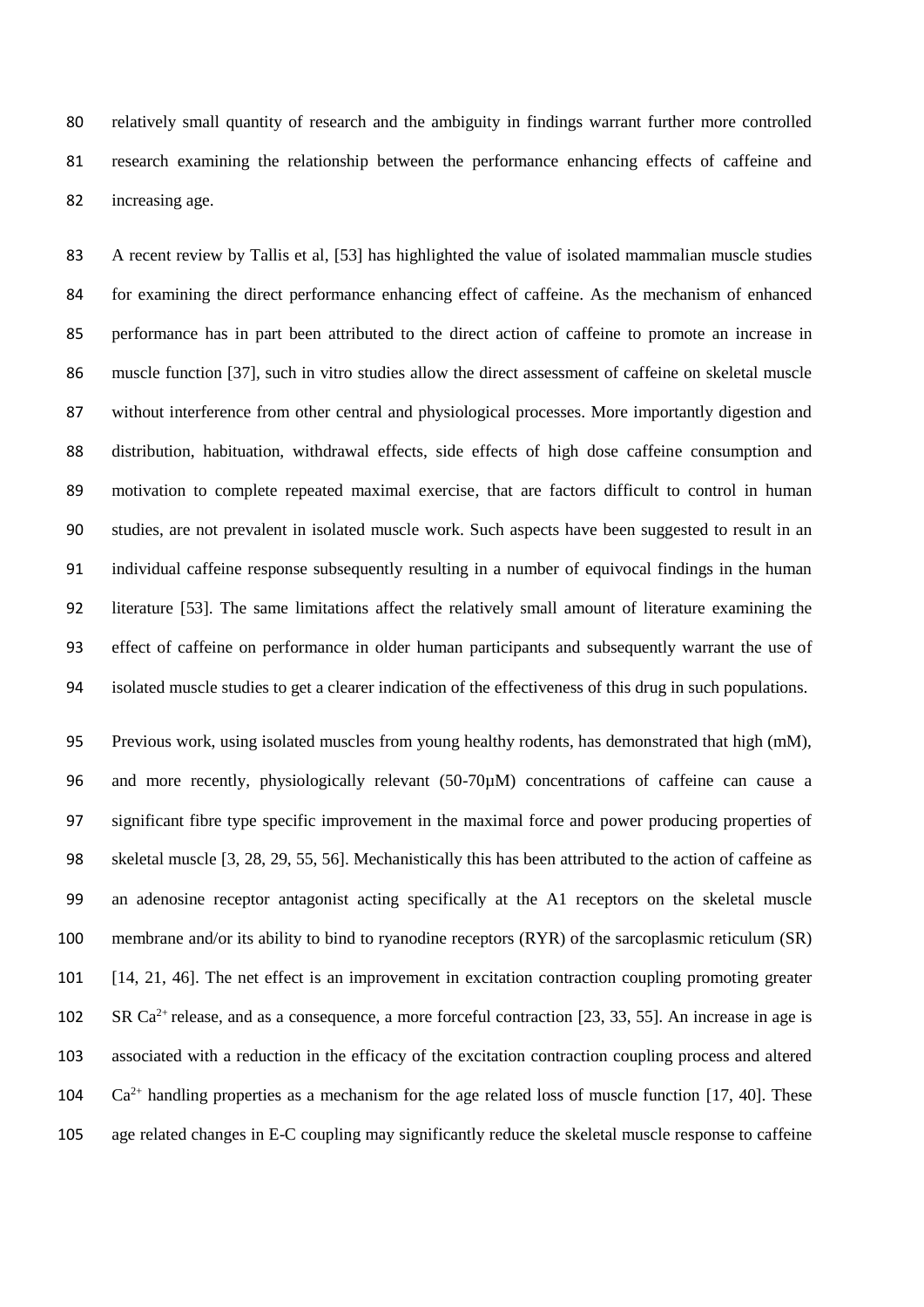relatively small quantity of research and the ambiguity in findings warrant further more controlled research examining the relationship between the performance enhancing effects of caffeine and increasing age.

 A recent review by Tallis et al, [53] has highlighted the value of isolated mammalian muscle studies for examining the direct performance enhancing effect of caffeine. As the mechanism of enhanced performance has in part been attributed to the direct action of caffeine to promote an increase in muscle function [37], such in vitro studies allow the direct assessment of caffeine on skeletal muscle without interference from other central and physiological processes. More importantly digestion and distribution, habituation, withdrawal effects, side effects of high dose caffeine consumption and motivation to complete repeated maximal exercise, that are factors difficult to control in human studies, are not prevalent in isolated muscle work. Such aspects have been suggested to result in an individual caffeine response subsequently resulting in a number of equivocal findings in the human literature [53]. The same limitations affect the relatively small amount of literature examining the effect of caffeine on performance in older human participants and subsequently warrant the use of isolated muscle studies to get a clearer indication of the effectiveness of this drug in such populations.

 Previous work, using isolated muscles from young healthy rodents, has demonstrated that high (mM), and more recently, physiologically relevant (50-70µM) concentrations of caffeine can cause a significant fibre type specific improvement in the maximal force and power producing properties of skeletal muscle [3, 28, 29, 55, 56]. Mechanistically this has been attributed to the action of caffeine as an adenosine receptor antagonist acting specifically at the A1 receptors on the skeletal muscle membrane and/or its ability to bind to ryanodine receptors (RYR) of the sarcoplasmic reticulum (SR) [14, 21, 46]. The net effect is an improvement in excitation contraction coupling promoting greater 102 SR Ca<sup>2+</sup> release, and as a consequence, a more forceful contraction [23, 33, 55]. An increase in age is associated with a reduction in the efficacy of the excitation contraction coupling process and altered  $Ca^{2+}$  handling properties as a mechanism for the age related loss of muscle function [17, 40]. These age related changes in E-C coupling may significantly reduce the skeletal muscle response to caffeine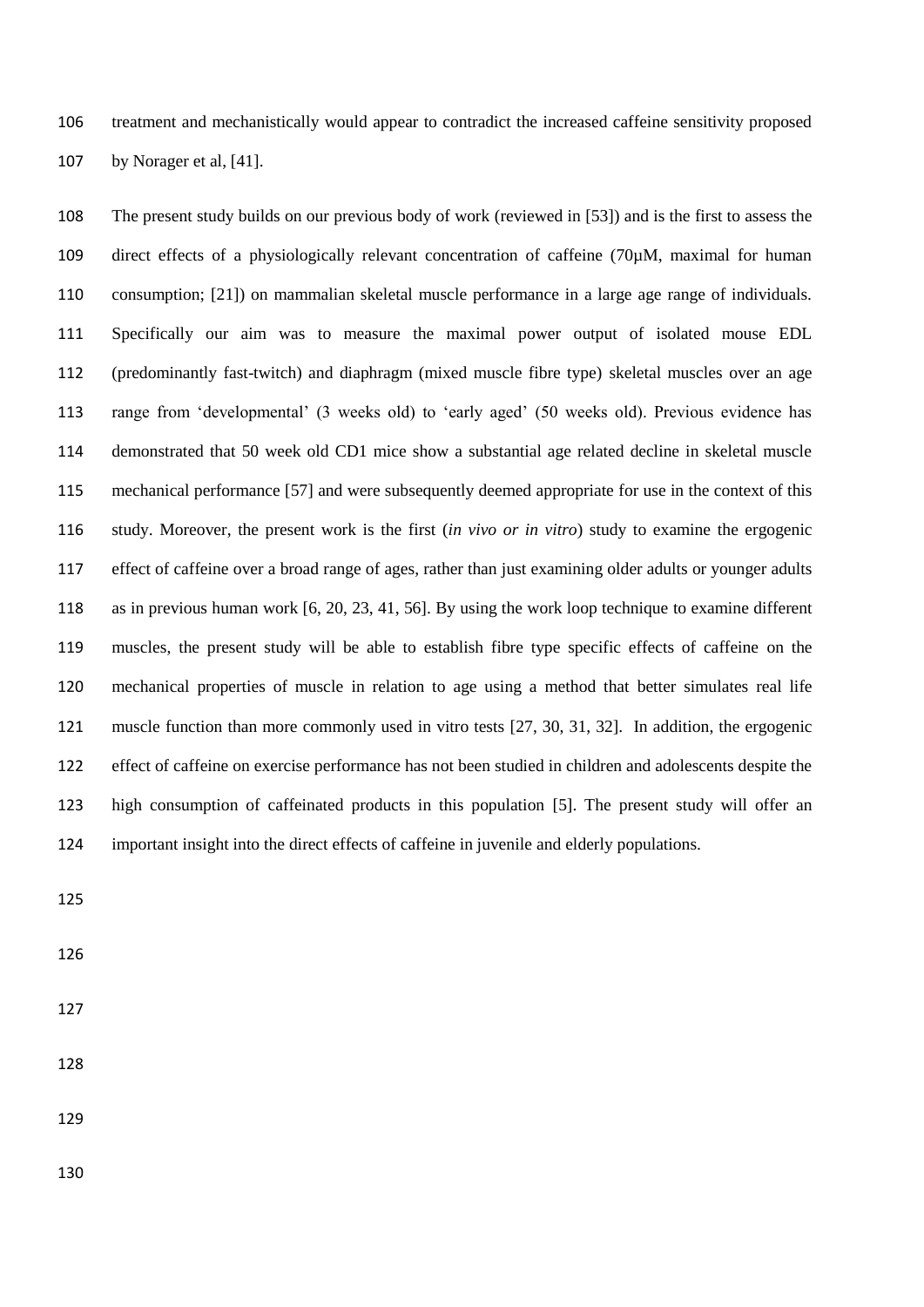treatment and mechanistically would appear to contradict the increased caffeine sensitivity proposed by Norager et al, [41].

 The present study builds on our previous body of work (reviewed in [53]) and is the first to assess the direct effects of a physiologically relevant concentration of caffeine (70µM, maximal for human consumption; [21]) on mammalian skeletal muscle performance in a large age range of individuals. Specifically our aim was to measure the maximal power output of isolated mouse EDL (predominantly fast-twitch) and diaphragm (mixed muscle fibre type) skeletal muscles over an age range from 'developmental' (3 weeks old) to 'early aged' (50 weeks old). Previous evidence has demonstrated that 50 week old CD1 mice show a substantial age related decline in skeletal muscle mechanical performance [57] and were subsequently deemed appropriate for use in the context of this study. Moreover, the present work is the first (*in vivo or in vitro*) study to examine the ergogenic effect of caffeine over a broad range of ages, rather than just examining older adults or younger adults as in previous human work [6, 20, 23, 41, 56]. By using the work loop technique to examine different muscles, the present study will be able to establish fibre type specific effects of caffeine on the mechanical properties of muscle in relation to age using a method that better simulates real life muscle function than more commonly used in vitro tests [27, 30, 31, 32]. In addition, the ergogenic effect of caffeine on exercise performance has not been studied in children and adolescents despite the high consumption of caffeinated products in this population [5]. The present study will offer an important insight into the direct effects of caffeine in juvenile and elderly populations.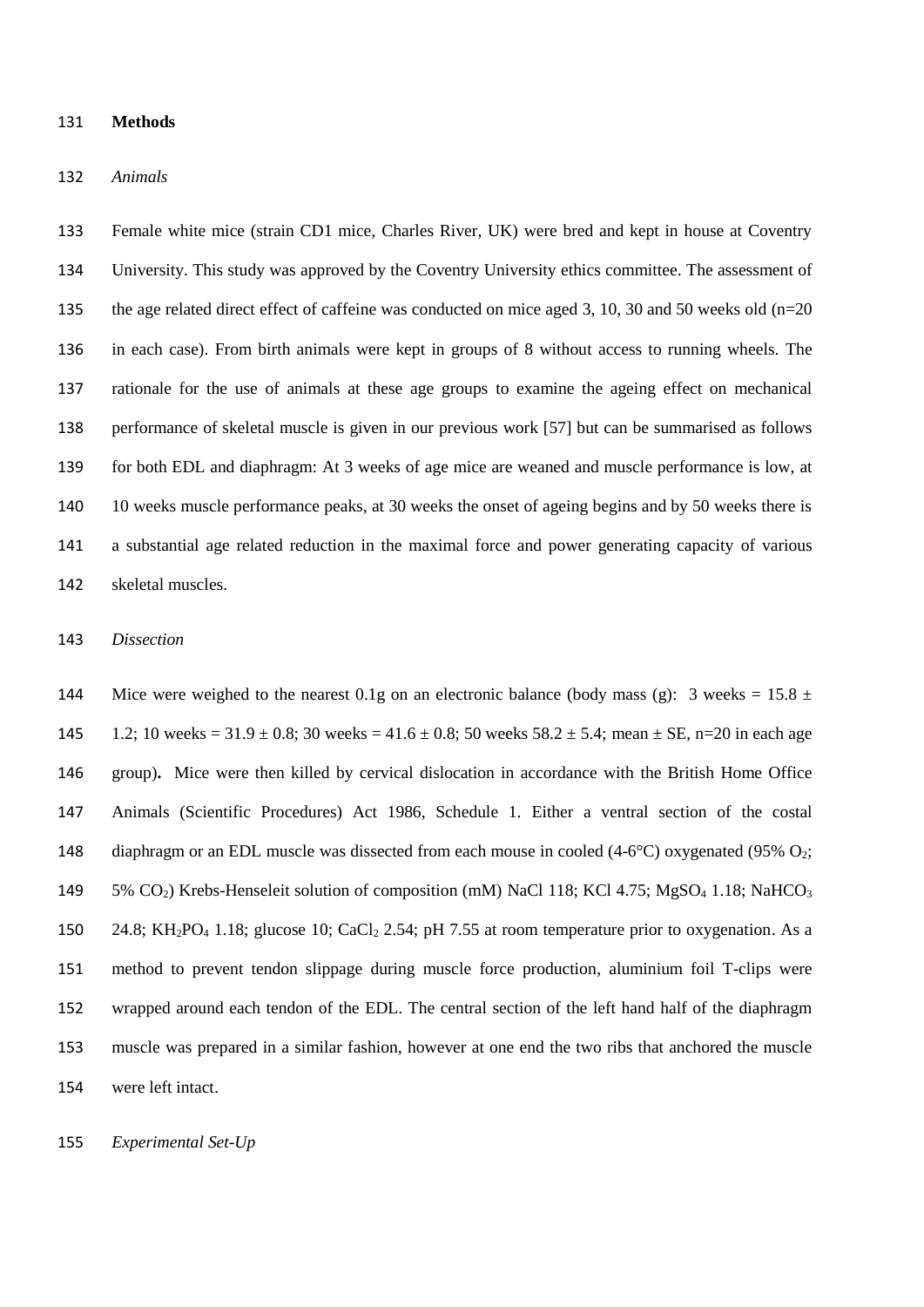#### **Methods**

#### *Animals*

 Female white mice (strain CD1 mice, Charles River, UK) were bred and kept in house at Coventry University. This study was approved by the Coventry University ethics committee. The assessment of 135 the age related direct effect of caffeine was conducted on mice aged 3, 10, 30 and 50 weeks old (n=20) in each case). From birth animals were kept in groups of 8 without access to running wheels. The rationale for the use of animals at these age groups to examine the ageing effect on mechanical performance of skeletal muscle is given in our previous work [57] but can be summarised as follows for both EDL and diaphragm: At 3 weeks of age mice are weaned and muscle performance is low, at 10 weeks muscle performance peaks, at 30 weeks the onset of ageing begins and by 50 weeks there is a substantial age related reduction in the maximal force and power generating capacity of various skeletal muscles.

#### *Dissection*

144 Mice were weighed to the nearest 0.1g on an electronic balance (body mass (g): 3 weeks = 15.8  $\pm$ 145 1.2; 10 weeks =  $31.9 \pm 0.8$ ; 30 weeks =  $41.6 \pm 0.8$ ; 50 weeks  $58.2 \pm 5.4$ ; mean  $\pm$  SE, n=20 in each age group)**.** Mice were then killed by cervical dislocation in accordance with the British Home Office Animals (Scientific Procedures) Act 1986, Schedule 1. Either a ventral section of the costal 148 diaphragm or an EDL muscle was dissected from each mouse in cooled  $(4-6^{\circ}C)$  oxygenated (95% O<sub>2</sub>; 149 5% CO<sub>2</sub>) Krebs-Henseleit solution of composition (mM) NaCl 118; KCl 4.75; MgSO<sub>4</sub> 1.18; NaHCO<sub>3</sub> 150 24.8; KH<sub>2</sub>PO<sub>4</sub> 1.18; glucose 10; CaCl<sub>2</sub> 2.54; pH 7.55 at room temperature prior to oxygenation. As a method to prevent tendon slippage during muscle force production, aluminium foil T-clips were wrapped around each tendon of the EDL. The central section of the left hand half of the diaphragm muscle was prepared in a similar fashion, however at one end the two ribs that anchored the muscle were left intact.

#### *Experimental Set-Up*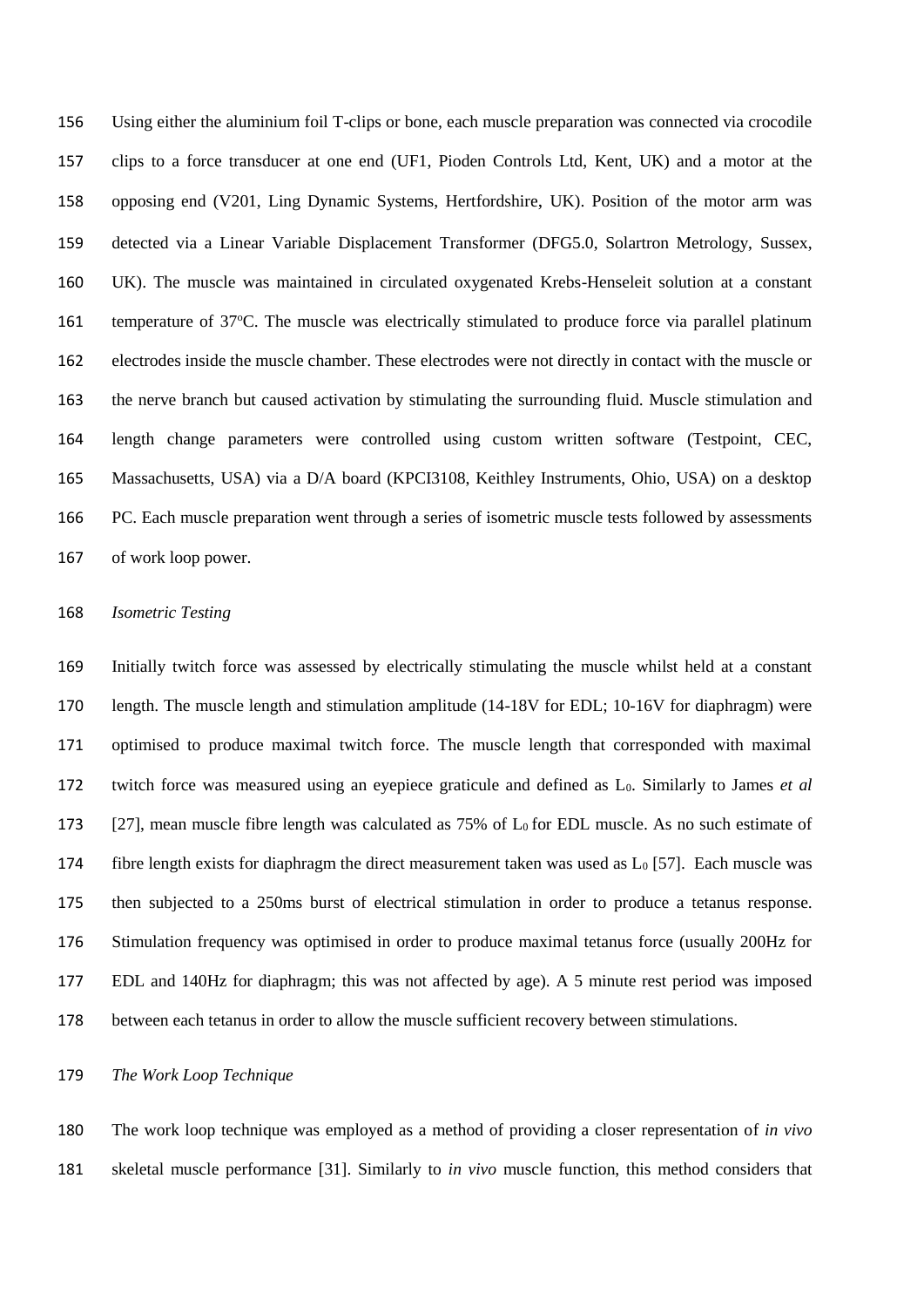Using either the aluminium foil T-clips or bone, each muscle preparation was connected via crocodile clips to a force transducer at one end (UF1, Pioden Controls Ltd, Kent, UK) and a motor at the opposing end (V201, Ling Dynamic Systems, Hertfordshire, UK). Position of the motor arm was detected via a Linear Variable Displacement Transformer (DFG5.0, Solartron Metrology, Sussex, UK). The muscle was maintained in circulated oxygenated Krebs-Henseleit solution at a constant 161 temperature of  $37^{\circ}$ C. The muscle was electrically stimulated to produce force via parallel platinum electrodes inside the muscle chamber. These electrodes were not directly in contact with the muscle or the nerve branch but caused activation by stimulating the surrounding fluid. Muscle stimulation and length change parameters were controlled using custom written software (Testpoint, CEC, Massachusetts, USA) via a D/A board (KPCI3108, Keithley Instruments, Ohio, USA) on a desktop PC. Each muscle preparation went through a series of isometric muscle tests followed by assessments of work loop power.

#### *Isometric Testing*

 Initially twitch force was assessed by electrically stimulating the muscle whilst held at a constant length. The muscle length and stimulation amplitude (14-18V for EDL; 10-16V for diaphragm) were optimised to produce maximal twitch force. The muscle length that corresponded with maximal twitch force was measured using an eyepiece graticule and defined as L0. Similarly to James *et al*  173 [27], mean muscle fibre length was calculated as  $75\%$  of  $L_0$  for EDL muscle. As no such estimate of 174 fibre length exists for diaphragm the direct measurement taken was used as  $L_0$  [57]. Each muscle was then subjected to a 250ms burst of electrical stimulation in order to produce a tetanus response. Stimulation frequency was optimised in order to produce maximal tetanus force (usually 200Hz for EDL and 140Hz for diaphragm; this was not affected by age). A 5 minute rest period was imposed between each tetanus in order to allow the muscle sufficient recovery between stimulations.

#### *The Work Loop Technique*

 The work loop technique was employed as a method of providing a closer representation of *in vivo* skeletal muscle performance [31]. Similarly to *in vivo* muscle function, this method considers that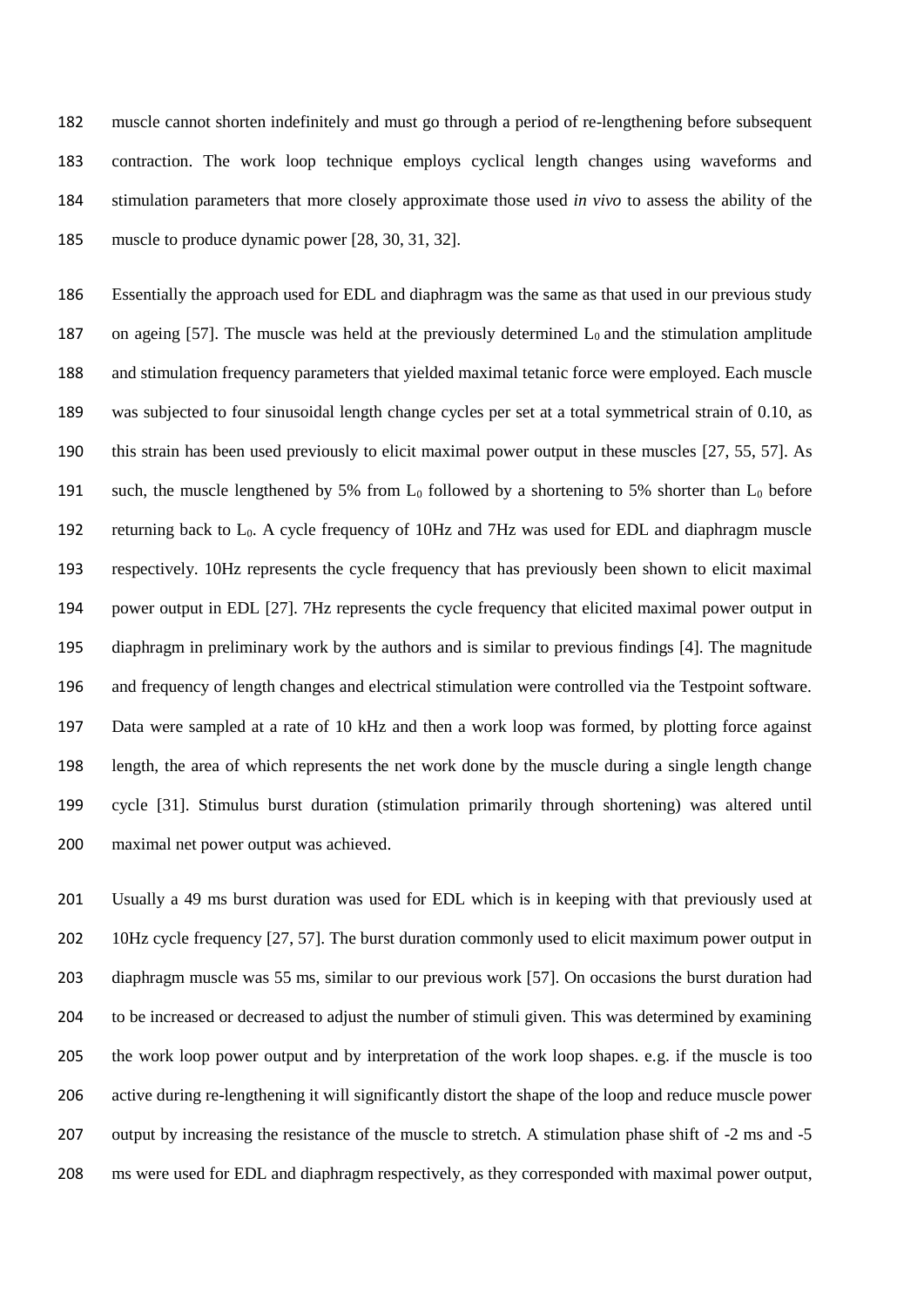muscle cannot shorten indefinitely and must go through a period of re-lengthening before subsequent contraction. The work loop technique employs cyclical length changes using waveforms and stimulation parameters that more closely approximate those used *in vivo* to assess the ability of the muscle to produce dynamic power [28, 30, 31, 32].

 Essentially the approach used for EDL and diaphragm was the same as that used in our previous study 187 on ageing [57]. The muscle was held at the previously determined  $L_0$  and the stimulation amplitude and stimulation frequency parameters that yielded maximal tetanic force were employed. Each muscle was subjected to four sinusoidal length change cycles per set at a total symmetrical strain of 0.10, as this strain has been used previously to elicit maximal power output in these muscles [27, 55, 57]. As 191 such, the muscle lengthened by 5% from  $L_0$  followed by a shortening to 5% shorter than  $L_0$  before returning back to L0. A cycle frequency of 10Hz and 7Hz was used for EDL and diaphragm muscle respectively. 10Hz represents the cycle frequency that has previously been shown to elicit maximal power output in EDL [27]. 7Hz represents the cycle frequency that elicited maximal power output in diaphragm in preliminary work by the authors and is similar to previous findings [4]. The magnitude and frequency of length changes and electrical stimulation were controlled via the Testpoint software. Data were sampled at a rate of 10 kHz and then a work loop was formed, by plotting force against length, the area of which represents the net work done by the muscle during a single length change cycle [31]. Stimulus burst duration (stimulation primarily through shortening) was altered until 200 maximal net power output was achieved.

 Usually a 49 ms burst duration was used for EDL which is in keeping with that previously used at 10Hz cycle frequency [27, 57]. The burst duration commonly used to elicit maximum power output in diaphragm muscle was 55 ms, similar to our previous work [57]. On occasions the burst duration had to be increased or decreased to adjust the number of stimuli given. This was determined by examining the work loop power output and by interpretation of the work loop shapes. e.g. if the muscle is too active during re-lengthening it will significantly distort the shape of the loop and reduce muscle power output by increasing the resistance of the muscle to stretch. A stimulation phase shift of -2 ms and -5 ms were used for EDL and diaphragm respectively, as they corresponded with maximal power output,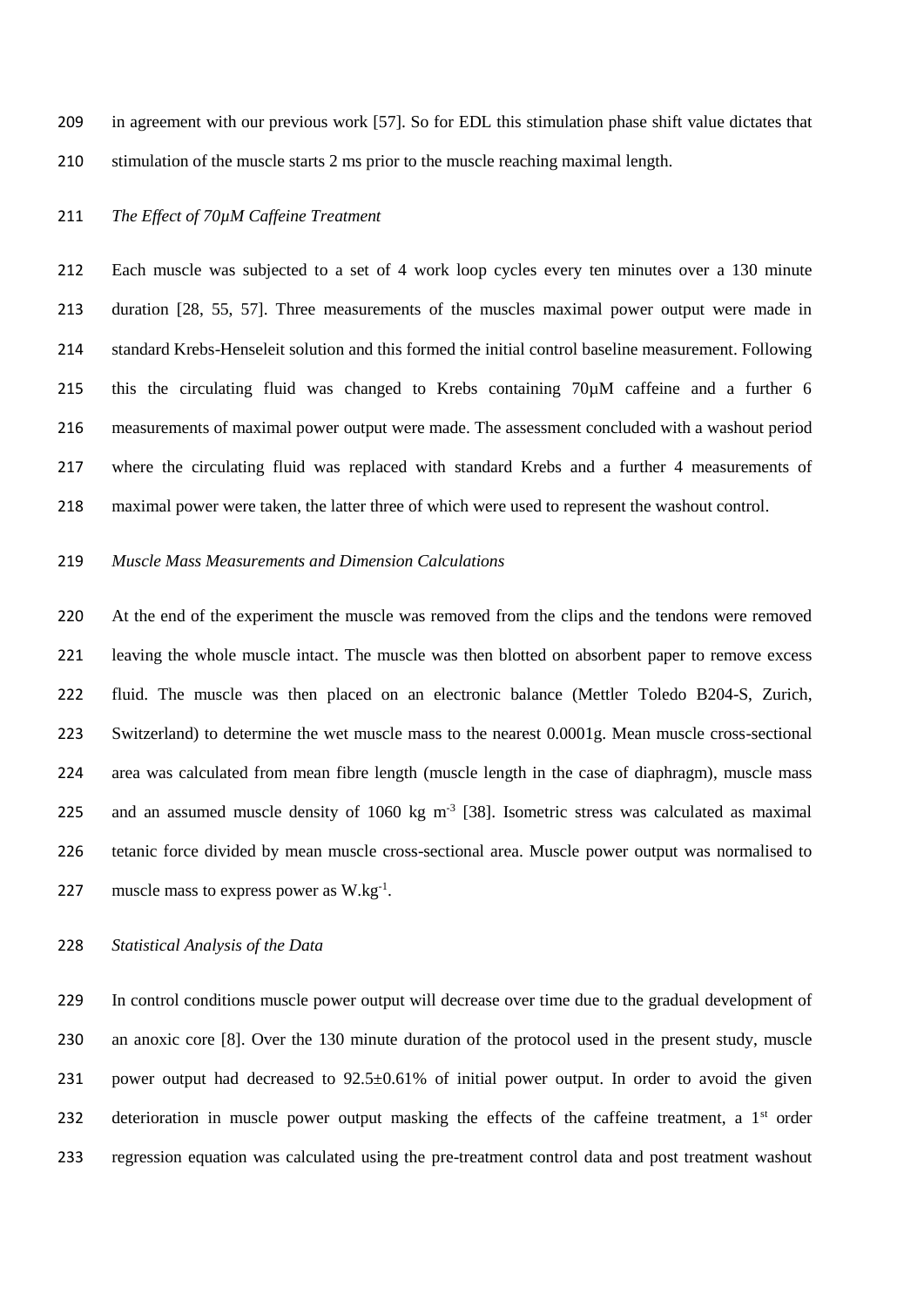in agreement with our previous work [57]. So for EDL this stimulation phase shift value dictates that stimulation of the muscle starts 2 ms prior to the muscle reaching maximal length.

### *The Effect of 70µM Caffeine Treatment*

 Each muscle was subjected to a set of 4 work loop cycles every ten minutes over a 130 minute duration [28, 55, 57]. Three measurements of the muscles maximal power output were made in standard Krebs-Henseleit solution and this formed the initial control baseline measurement. Following this the circulating fluid was changed to Krebs containing 70µM caffeine and a further 6 measurements of maximal power output were made. The assessment concluded with a washout period where the circulating fluid was replaced with standard Krebs and a further 4 measurements of maximal power were taken, the latter three of which were used to represent the washout control.

#### *Muscle Mass Measurements and Dimension Calculations*

220 At the end of the experiment the muscle was removed from the clips and the tendons were removed leaving the whole muscle intact. The muscle was then blotted on absorbent paper to remove excess fluid. The muscle was then placed on an electronic balance (Mettler Toledo B204-S, Zurich, Switzerland) to determine the wet muscle mass to the nearest 0.0001g. Mean muscle cross-sectional area was calculated from mean fibre length (muscle length in the case of diaphragm), muscle mass 225 and an assumed muscle density of  $1060 \text{ kg m}^{-3}$  [38]. Isometric stress was calculated as maximal tetanic force divided by mean muscle cross-sectional area. Muscle power output was normalised to 227 muscle mass to express power as  $W \cdot kg^{-1}$ .

### *Statistical Analysis of the Data*

 In control conditions muscle power output will decrease over time due to the gradual development of an anoxic core [8]. Over the 130 minute duration of the protocol used in the present study, muscle 231 power output had decreased to 92.5±0.61% of initial power output. In order to avoid the given 232 deterioration in muscle power output masking the effects of the caffeine treatment, a  $1<sup>st</sup>$  order regression equation was calculated using the pre-treatment control data and post treatment washout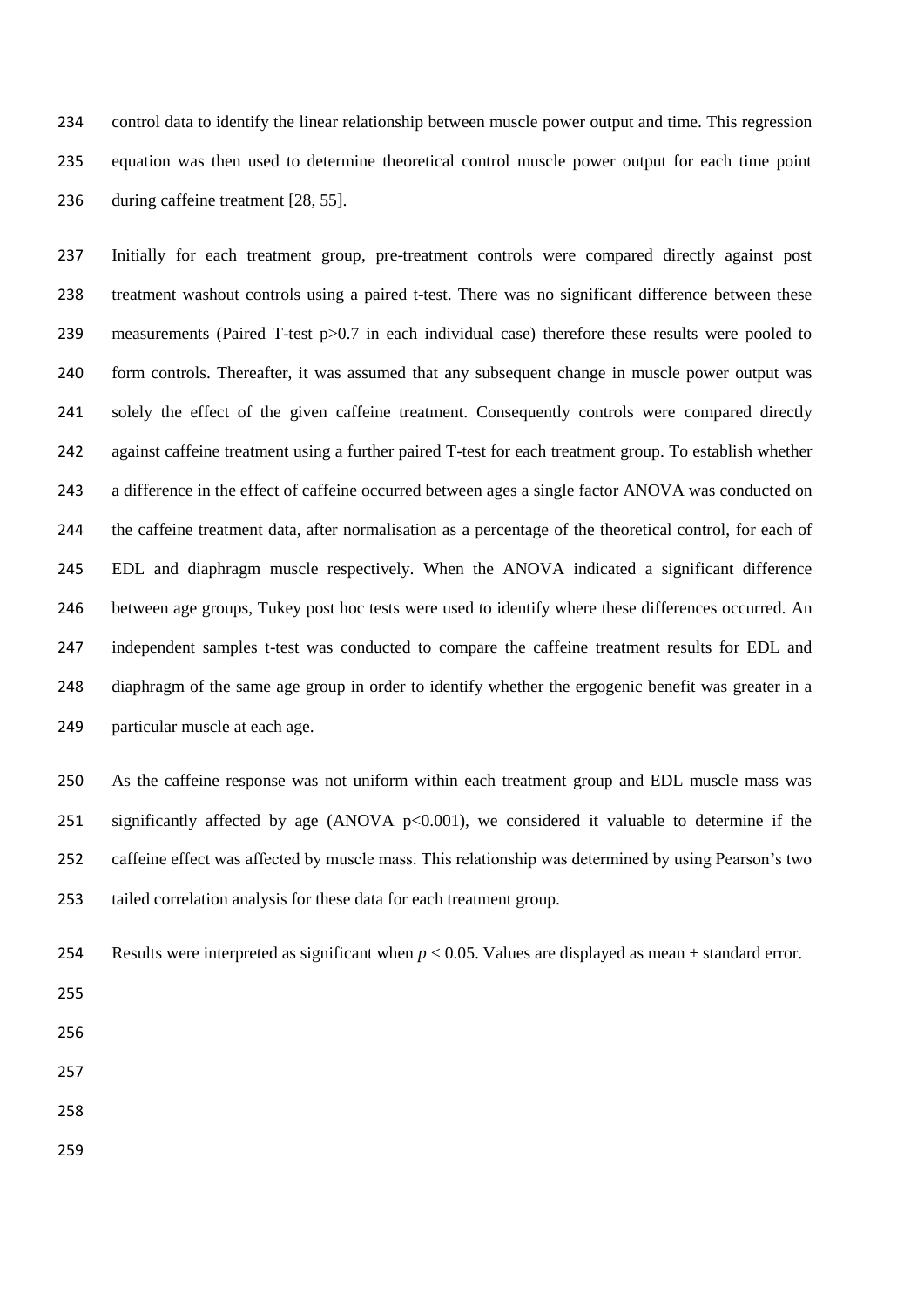control data to identify the linear relationship between muscle power output and time. This regression equation was then used to determine theoretical control muscle power output for each time point during caffeine treatment [28, 55].

 Initially for each treatment group, pre-treatment controls were compared directly against post treatment washout controls using a paired t-test. There was no significant difference between these measurements (Paired T-test p>0.7 in each individual case) therefore these results were pooled to form controls. Thereafter, it was assumed that any subsequent change in muscle power output was solely the effect of the given caffeine treatment. Consequently controls were compared directly against caffeine treatment using a further paired T-test for each treatment group. To establish whether a difference in the effect of caffeine occurred between ages a single factor ANOVA was conducted on the caffeine treatment data, after normalisation as a percentage of the theoretical control, for each of EDL and diaphragm muscle respectively. When the ANOVA indicated a significant difference between age groups, Tukey post hoc tests were used to identify where these differences occurred. An independent samples t-test was conducted to compare the caffeine treatment results for EDL and diaphragm of the same age group in order to identify whether the ergogenic benefit was greater in a particular muscle at each age.

 As the caffeine response was not uniform within each treatment group and EDL muscle mass was 251 significantly affected by age (ANOVA  $p<0.001$ ), we considered it valuable to determine if the caffeine effect was affected by muscle mass. This relationship was determined by using Pearson's two tailed correlation analysis for these data for each treatment group.

- Results were interpreted as significant when *p* < 0.05. Values are displayed as mean ± standard error.
- 

- 
- 
-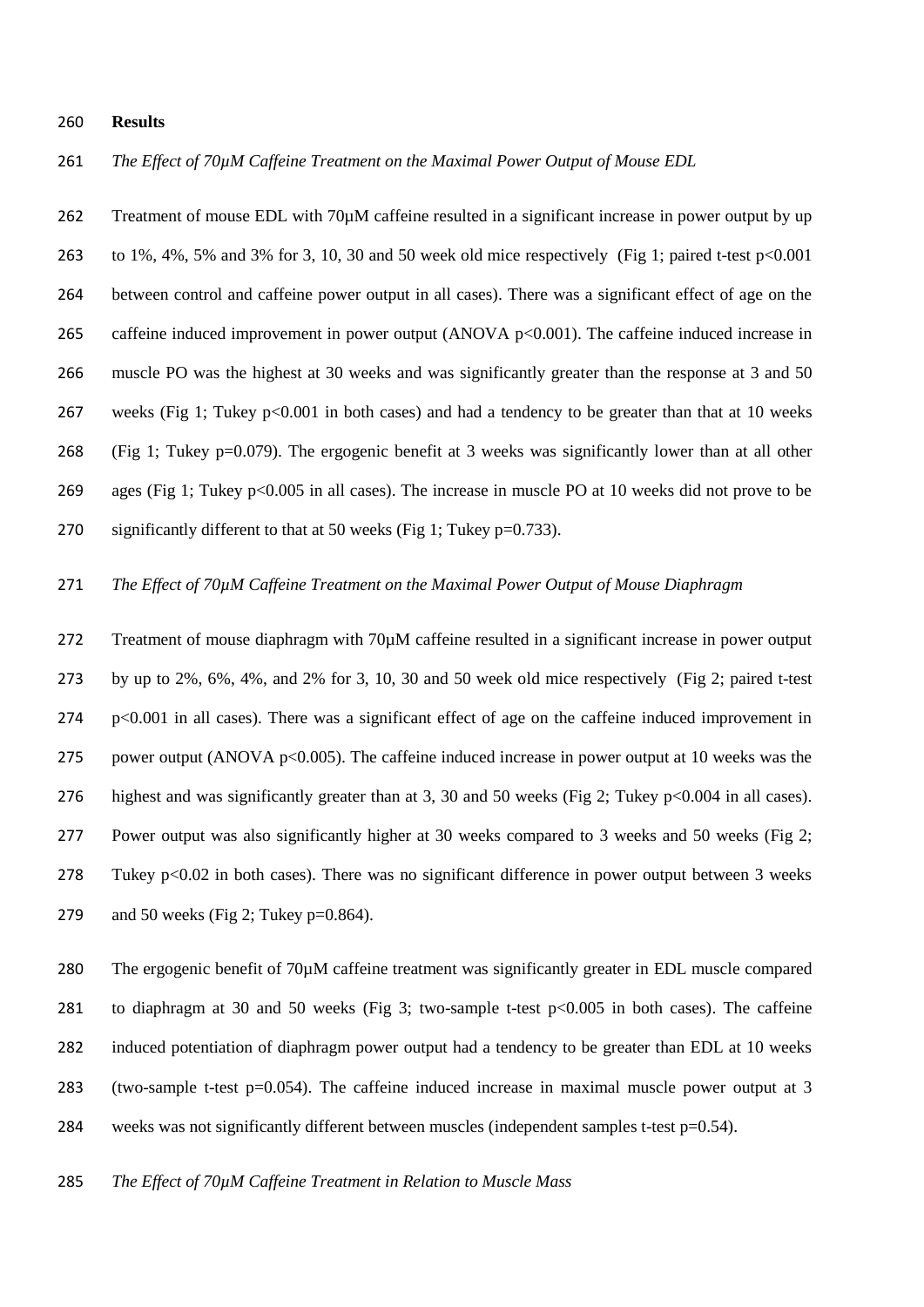#### **Results**

*The Effect of 70µM Caffeine Treatment on the Maximal Power Output of Mouse EDL*

 Treatment of mouse EDL with 70µM caffeine resulted in a significant increase in power output by up to 1%, 4%, 5% and 3% for 3, 10, 30 and 50 week old mice respectively (Fig 1; paired t-test p<0.001 between control and caffeine power output in all cases). There was a significant effect of age on the 265 caffeine induced improvement in power output (ANOVA p<0.001). The caffeine induced increase in muscle PO was the highest at 30 weeks and was significantly greater than the response at 3 and 50 267 weeks (Fig 1; Tukey p<0.001 in both cases) and had a tendency to be greater than that at 10 weeks (Fig 1; Tukey p=0.079). The ergogenic benefit at 3 weeks was significantly lower than at all other ages (Fig 1; Tukey p<0.005 in all cases). The increase in muscle PO at 10 weeks did not prove to be 270 significantly different to that at 50 weeks (Fig 1; Tukey  $p=0.733$ ).

### *The Effect of 70µM Caffeine Treatment on the Maximal Power Output of Mouse Diaphragm*

272 Treatment of mouse diaphragm with 70 $\mu$ M caffeine resulted in a significant increase in power output by up to 2%, 6%, 4%, and 2% for 3, 10, 30 and 50 week old mice respectively (Fig 2; paired t-test p<0.001 in all cases). There was a significant effect of age on the caffeine induced improvement in 275 power output (ANOVA  $p<0.005$ ). The caffeine induced increase in power output at 10 weeks was the highest and was significantly greater than at 3, 30 and 50 weeks (Fig 2; Tukey p<0.004 in all cases). Power output was also significantly higher at 30 weeks compared to 3 weeks and 50 weeks (Fig 2; Tukey p<0.02 in both cases). There was no significant difference in power output between 3 weeks 279 and 50 weeks (Fig 2; Tukey p=0.864).

280 The ergogenic benefit of 70 $\mu$ M caffeine treatment was significantly greater in EDL muscle compared to diaphragm at 30 and 50 weeks (Fig 3; two-sample t-test p<0.005 in both cases). The caffeine induced potentiation of diaphragm power output had a tendency to be greater than EDL at 10 weeks (two-sample t-test p=0.054). The caffeine induced increase in maximal muscle power output at 3 284 weeks was not significantly different between muscles (independent samples t-test  $p=0.54$ ).

*The Effect of 70µM Caffeine Treatment in Relation to Muscle Mass*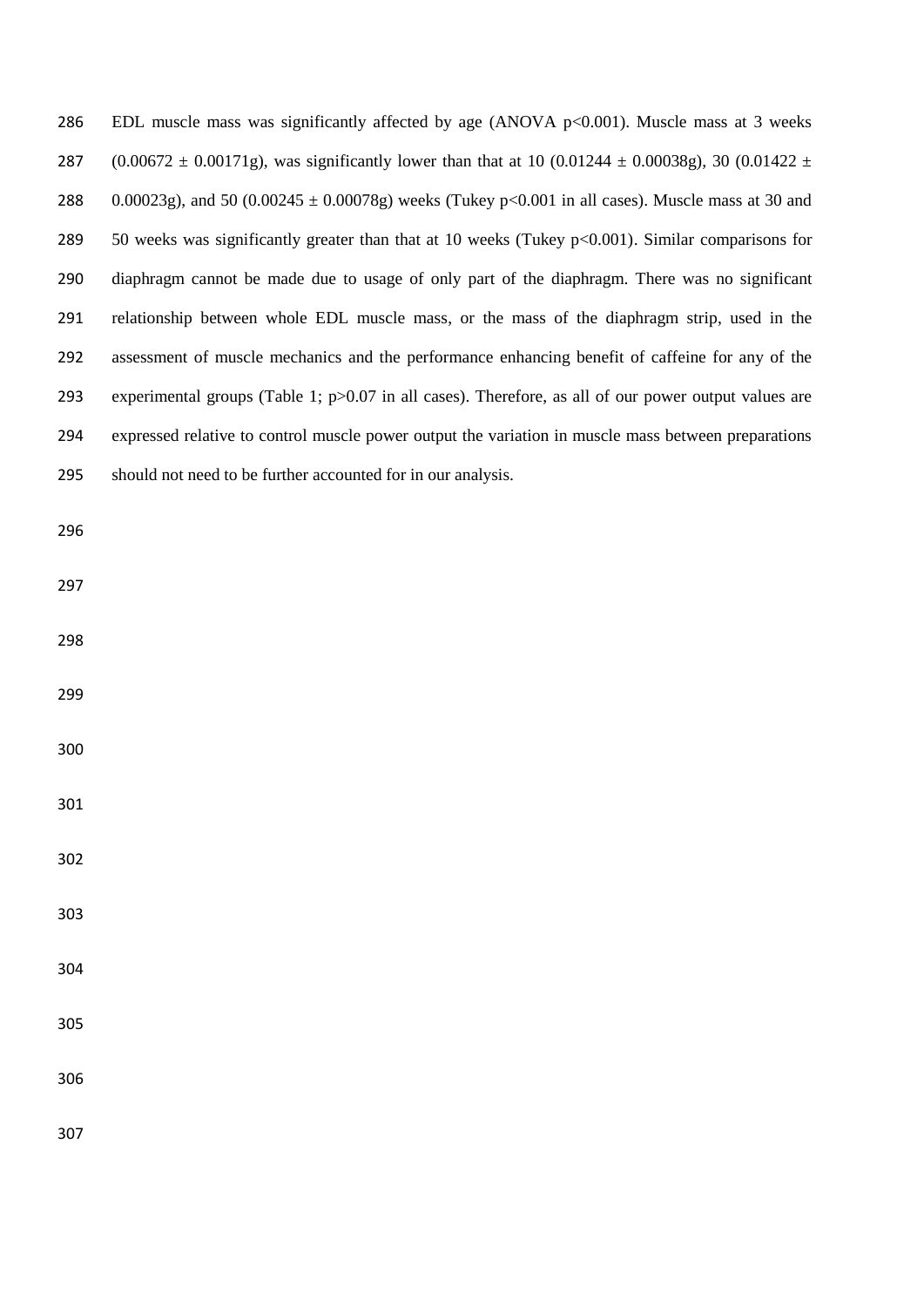286 EDL muscle mass was significantly affected by age (ANOVA p<0.001). Muscle mass at 3 weeks 287 (0.00672  $\pm$  0.00171g), was significantly lower than that at 10 (0.01244  $\pm$  0.00038g), 30 (0.01422  $\pm$ 288 0.00023g), and 50 (0.00245  $\pm$  0.00078g) weeks (Tukey p<0.001 in all cases). Muscle mass at 30 and 50 weeks was significantly greater than that at 10 weeks (Tukey p<0.001). Similar comparisons for diaphragm cannot be made due to usage of only part of the diaphragm. There was no significant relationship between whole EDL muscle mass, or the mass of the diaphragm strip, used in the assessment of muscle mechanics and the performance enhancing benefit of caffeine for any of the experimental groups (Table 1; p>0.07 in all cases). Therefore, as all of our power output values are expressed relative to control muscle power output the variation in muscle mass between preparations should not need to be further accounted for in our analysis.

- 
- 
- 
- 
- 
- 
- 
- 
- 
- 
- 
- 
- 
-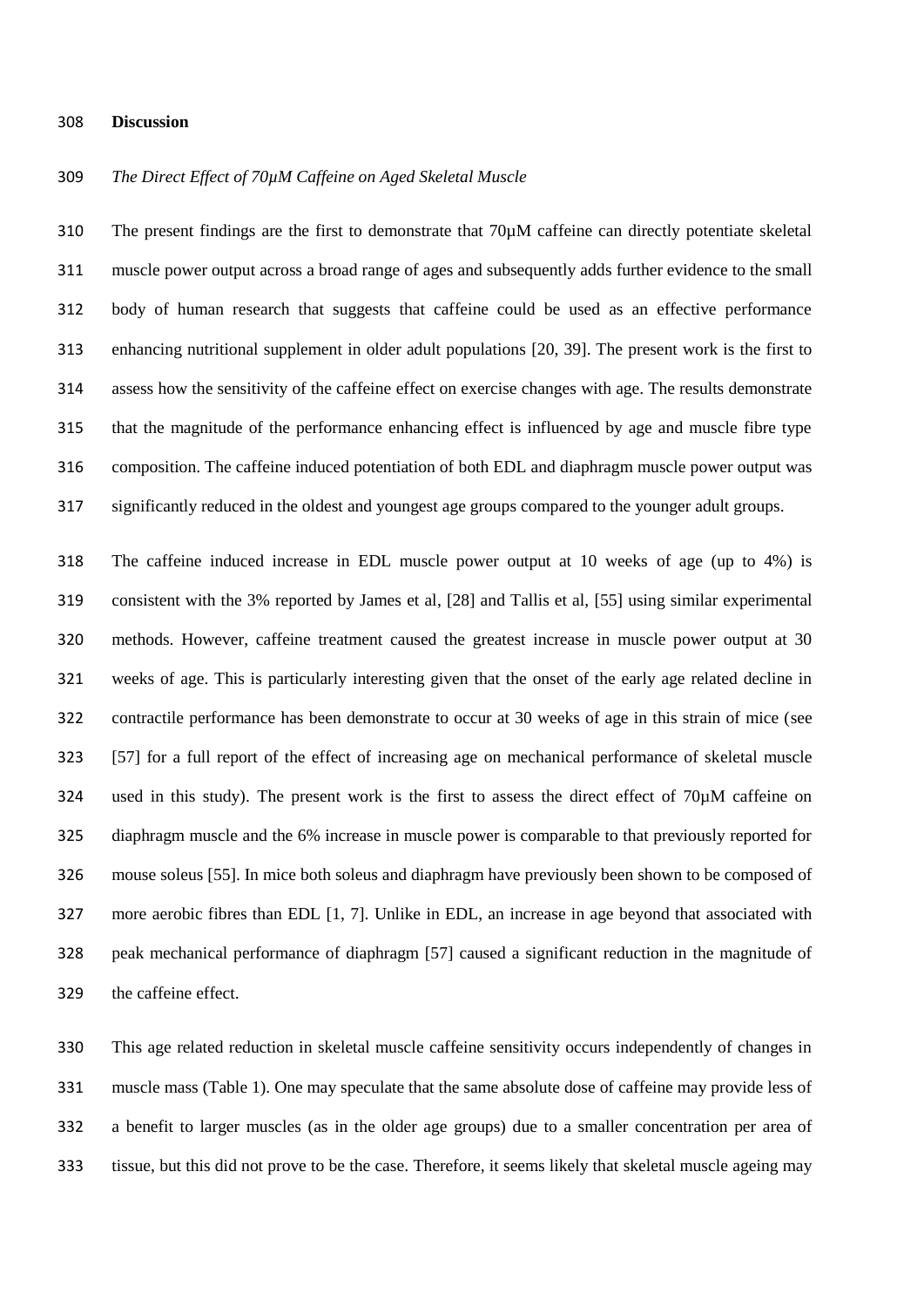#### **Discussion**

### *The Direct Effect of 70µM Caffeine on Aged Skeletal Muscle*

 The present findings are the first to demonstrate that 70µM caffeine can directly potentiate skeletal muscle power output across a broad range of ages and subsequently adds further evidence to the small body of human research that suggests that caffeine could be used as an effective performance enhancing nutritional supplement in older adult populations [20, 39]. The present work is the first to assess how the sensitivity of the caffeine effect on exercise changes with age. The results demonstrate that the magnitude of the performance enhancing effect is influenced by age and muscle fibre type composition. The caffeine induced potentiation of both EDL and diaphragm muscle power output was significantly reduced in the oldest and youngest age groups compared to the younger adult groups.

 The caffeine induced increase in EDL muscle power output at 10 weeks of age (up to 4%) is consistent with the 3% reported by James et al, [28] and Tallis et al, [55] using similar experimental methods. However, caffeine treatment caused the greatest increase in muscle power output at 30 weeks of age. This is particularly interesting given that the onset of the early age related decline in contractile performance has been demonstrate to occur at 30 weeks of age in this strain of mice (see [57] for a full report of the effect of increasing age on mechanical performance of skeletal muscle used in this study). The present work is the first to assess the direct effect of 70µM caffeine on diaphragm muscle and the 6% increase in muscle power is comparable to that previously reported for mouse soleus [55]. In mice both soleus and diaphragm have previously been shown to be composed of more aerobic fibres than EDL [1, 7]. Unlike in EDL, an increase in age beyond that associated with peak mechanical performance of diaphragm [57] caused a significant reduction in the magnitude of the caffeine effect.

 This age related reduction in skeletal muscle caffeine sensitivity occurs independently of changes in muscle mass (Table 1). One may speculate that the same absolute dose of caffeine may provide less of a benefit to larger muscles (as in the older age groups) due to a smaller concentration per area of tissue, but this did not prove to be the case. Therefore, it seems likely that skeletal muscle ageing may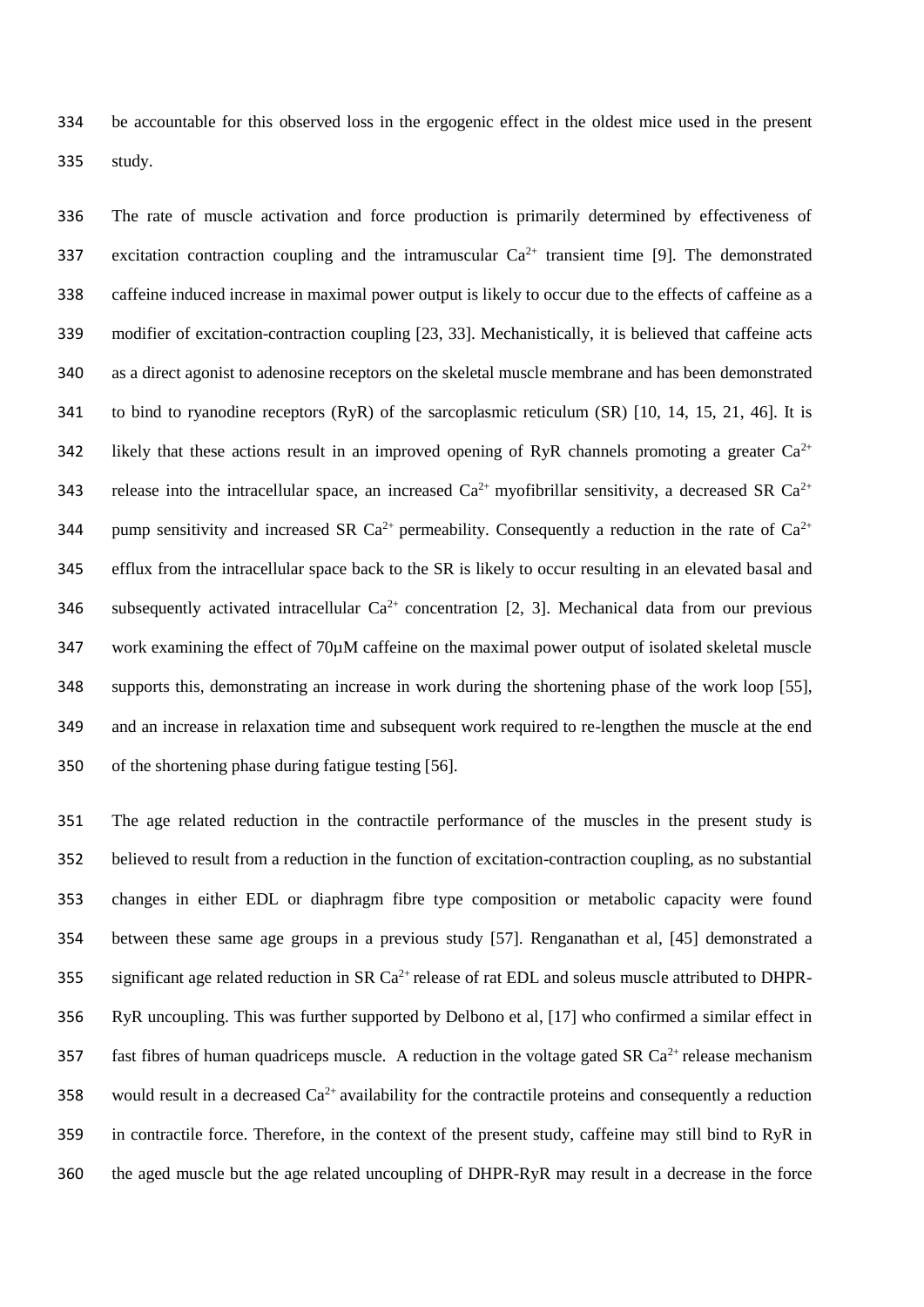be accountable for this observed loss in the ergogenic effect in the oldest mice used in the present study.

 The rate of muscle activation and force production is primarily determined by effectiveness of 337 excitation contraction coupling and the intramuscular  $Ca^{2+}$  transient time [9]. The demonstrated caffeine induced increase in maximal power output is likely to occur due to the effects of caffeine as a modifier of excitation-contraction coupling [23, 33]. Mechanistically, it is believed that caffeine acts as a direct agonist to adenosine receptors on the skeletal muscle membrane and has been demonstrated to bind to ryanodine receptors (RyR) of the sarcoplasmic reticulum (SR) [10, 14, 15, 21, 46]. It is 342 likely that these actions result in an improved opening of RyR channels promoting a greater  $Ca^{2+}$ 343 release into the intracellular space, an increased  $Ca^{2+}$  myofibrillar sensitivity, a decreased SR  $Ca^{2+}$ 344 pump sensitivity and increased SR  $Ca^{2+}$  permeability. Consequently a reduction in the rate of  $Ca^{2+}$  efflux from the intracellular space back to the SR is likely to occur resulting in an elevated basal and 346 subsequently activated intracellular  $Ca^{2+}$  concentration [2, 3]. Mechanical data from our previous work examining the effect of 70µM caffeine on the maximal power output of isolated skeletal muscle supports this, demonstrating an increase in work during the shortening phase of the work loop [55], and an increase in relaxation time and subsequent work required to re-lengthen the muscle at the end of the shortening phase during fatigue testing [56].

 The age related reduction in the contractile performance of the muscles in the present study is believed to result from a reduction in the function of excitation-contraction coupling, as no substantial changes in either EDL or diaphragm fibre type composition or metabolic capacity were found between these same age groups in a previous study [57]. Renganathan et al, [45] demonstrated a 355 significant age related reduction in SR  $Ca^{2+}$  release of rat EDL and soleus muscle attributed to DHPR- RyR uncoupling. This was further supported by Delbono et al, [17] who confirmed a similar effect in 357 fast fibres of human quadriceps muscle. A reduction in the voltage gated SR Ca<sup>2+</sup> release mechanism 358 would result in a decreased  $Ca^{2+}$  availability for the contractile proteins and consequently a reduction in contractile force. Therefore, in the context of the present study, caffeine may still bind to RyR in the aged muscle but the age related uncoupling of DHPR-RyR may result in a decrease in the force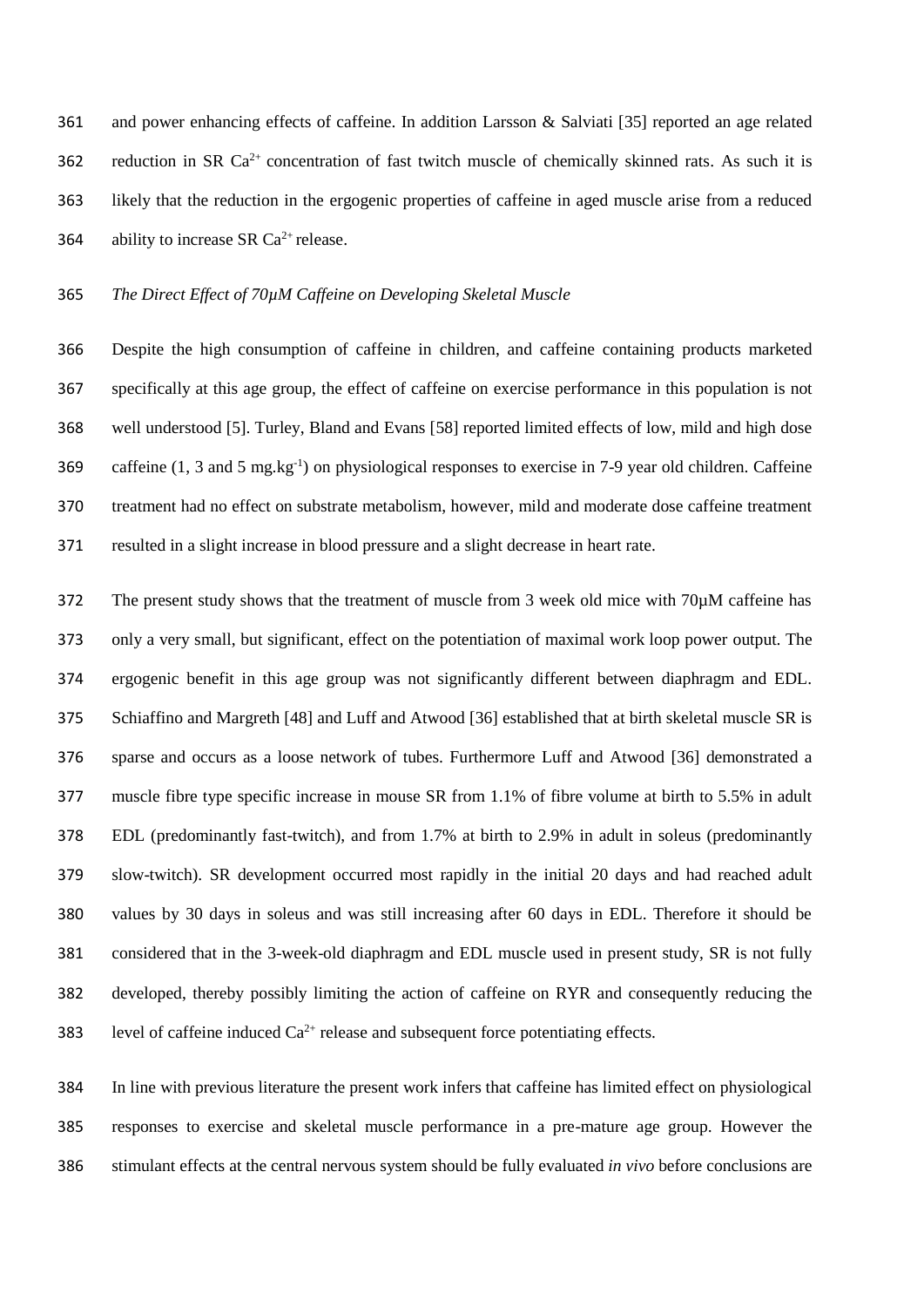and power enhancing effects of caffeine. In addition Larsson & Salviati [35] reported an age related 362 reduction in SR  $Ca^{2+}$  concentration of fast twitch muscle of chemically skinned rats. As such it is likely that the reduction in the ergogenic properties of caffeine in aged muscle arise from a reduced 364 ability to increase SR  $Ca^{2+}$  release.

*The Direct Effect of 70µM Caffeine on Developing Skeletal Muscle*

 Despite the high consumption of caffeine in children, and caffeine containing products marketed specifically at this age group, the effect of caffeine on exercise performance in this population is not well understood [5]. Turley, Bland and Evans [58] reported limited effects of low, mild and high dose 369 caffeine  $(1, 3 \text{ and } 5 \text{ mg} \cdot \text{kg}^{-1})$  on physiological responses to exercise in 7-9 year old children. Caffeine treatment had no effect on substrate metabolism, however, mild and moderate dose caffeine treatment resulted in a slight increase in blood pressure and a slight decrease in heart rate.

 The present study shows that the treatment of muscle from 3 week old mice with 70µM caffeine has only a very small, but significant, effect on the potentiation of maximal work loop power output. The ergogenic benefit in this age group was not significantly different between diaphragm and EDL. Schiaffino and Margreth [48] and Luff and Atwood [36] established that at birth skeletal muscle SR is sparse and occurs as a loose network of tubes. Furthermore Luff and Atwood [36] demonstrated a muscle fibre type specific increase in mouse SR from 1.1% of fibre volume at birth to 5.5% in adult EDL (predominantly fast-twitch), and from 1.7% at birth to 2.9% in adult in soleus (predominantly slow-twitch). SR development occurred most rapidly in the initial 20 days and had reached adult values by 30 days in soleus and was still increasing after 60 days in EDL. Therefore it should be considered that in the 3-week-old diaphragm and EDL muscle used in present study, SR is not fully developed, thereby possibly limiting the action of caffeine on RYR and consequently reducing the 383 level of caffeine induced  $Ca^{2+}$  release and subsequent force potentiating effects.

 In line with previous literature the present work infers that caffeine has limited effect on physiological responses to exercise and skeletal muscle performance in a pre-mature age group. However the stimulant effects at the central nervous system should be fully evaluated *in vivo* before conclusions are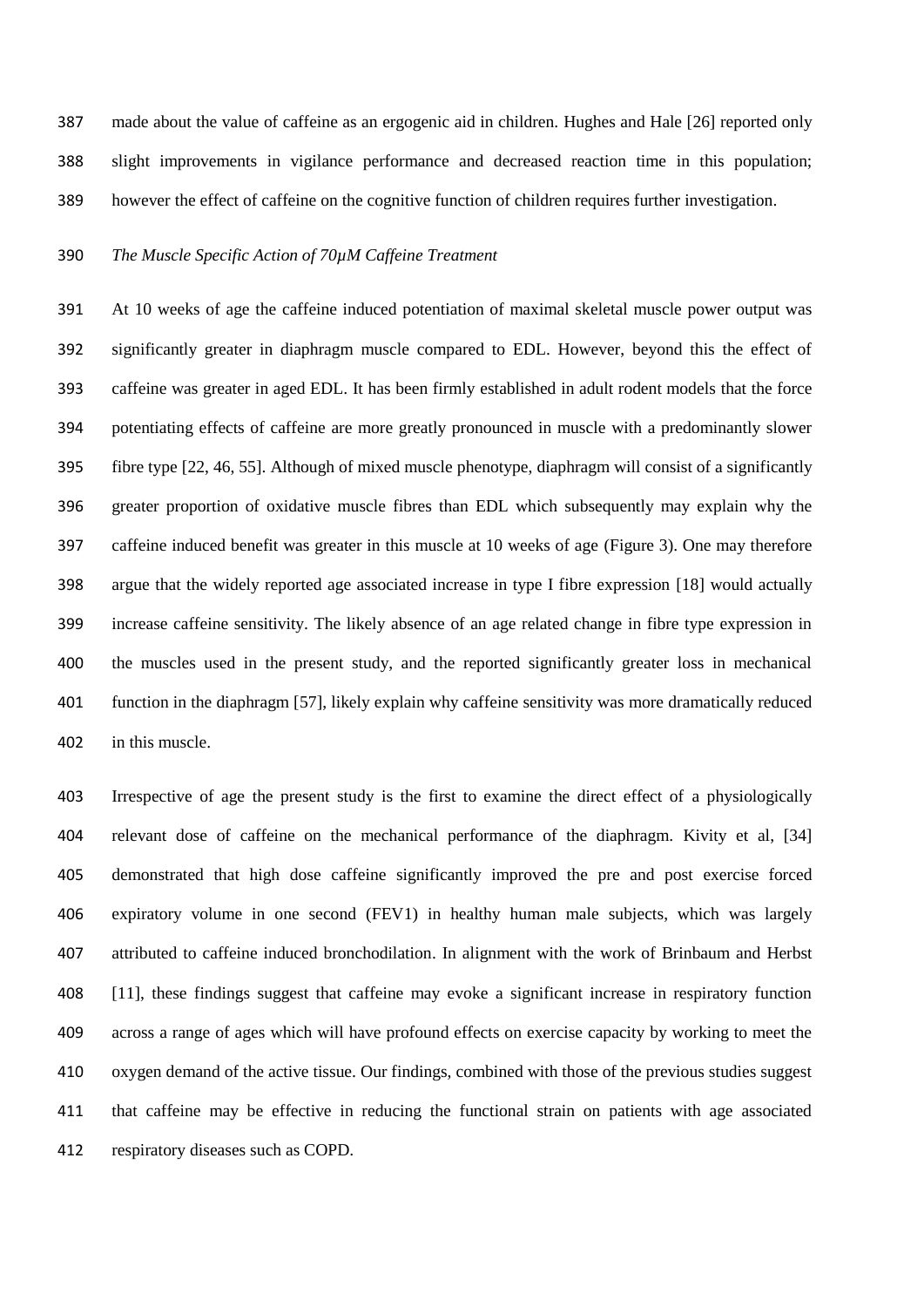made about the value of caffeine as an ergogenic aid in children. Hughes and Hale [26] reported only slight improvements in vigilance performance and decreased reaction time in this population; however the effect of caffeine on the cognitive function of children requires further investigation.

### *The Muscle Specific Action of 70µM Caffeine Treatment*

 At 10 weeks of age the caffeine induced potentiation of maximal skeletal muscle power output was significantly greater in diaphragm muscle compared to EDL. However, beyond this the effect of caffeine was greater in aged EDL. It has been firmly established in adult rodent models that the force potentiating effects of caffeine are more greatly pronounced in muscle with a predominantly slower fibre type [22, 46, 55]. Although of mixed muscle phenotype, diaphragm will consist of a significantly greater proportion of oxidative muscle fibres than EDL which subsequently may explain why the caffeine induced benefit was greater in this muscle at 10 weeks of age (Figure 3). One may therefore argue that the widely reported age associated increase in type I fibre expression [18] would actually increase caffeine sensitivity. The likely absence of an age related change in fibre type expression in the muscles used in the present study, and the reported significantly greater loss in mechanical function in the diaphragm [57], likely explain why caffeine sensitivity was more dramatically reduced in this muscle.

 Irrespective of age the present study is the first to examine the direct effect of a physiologically relevant dose of caffeine on the mechanical performance of the diaphragm. Kivity et al, [34] demonstrated that high dose caffeine significantly improved the pre and post exercise forced expiratory volume in one second (FEV1) in healthy human male subjects, which was largely attributed to caffeine induced bronchodilation. In alignment with the work of Brinbaum and Herbst [11], these findings suggest that caffeine may evoke a significant increase in respiratory function across a range of ages which will have profound effects on exercise capacity by working to meet the oxygen demand of the active tissue. Our findings, combined with those of the previous studies suggest that caffeine may be effective in reducing the functional strain on patients with age associated respiratory diseases such as COPD.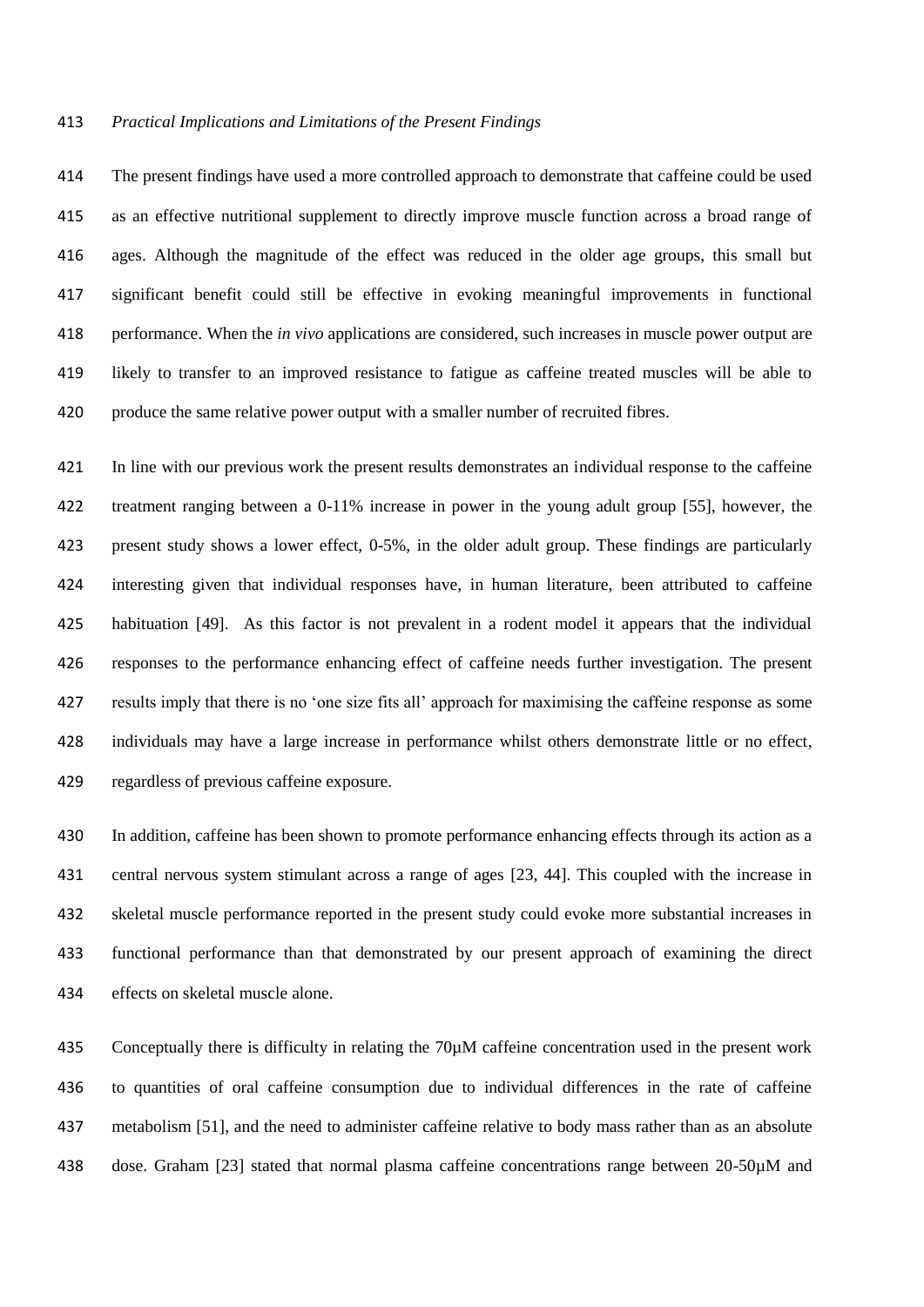#### *Practical Implications and Limitations of the Present Findings*

 The present findings have used a more controlled approach to demonstrate that caffeine could be used as an effective nutritional supplement to directly improve muscle function across a broad range of ages. Although the magnitude of the effect was reduced in the older age groups, this small but significant benefit could still be effective in evoking meaningful improvements in functional performance. When the *in vivo* applications are considered, such increases in muscle power output are likely to transfer to an improved resistance to fatigue as caffeine treated muscles will be able to produce the same relative power output with a smaller number of recruited fibres.

 In line with our previous work the present results demonstrates an individual response to the caffeine treatment ranging between a 0-11% increase in power in the young adult group [55], however, the present study shows a lower effect, 0-5%, in the older adult group. These findings are particularly interesting given that individual responses have, in human literature, been attributed to caffeine habituation [49]. As this factor is not prevalent in a rodent model it appears that the individual responses to the performance enhancing effect of caffeine needs further investigation. The present results imply that there is no 'one size fits all' approach for maximising the caffeine response as some individuals may have a large increase in performance whilst others demonstrate little or no effect, regardless of previous caffeine exposure.

 In addition, caffeine has been shown to promote performance enhancing effects through its action as a central nervous system stimulant across a range of ages [23, 44]. This coupled with the increase in skeletal muscle performance reported in the present study could evoke more substantial increases in functional performance than that demonstrated by our present approach of examining the direct effects on skeletal muscle alone.

 Conceptually there is difficulty in relating the 70µM caffeine concentration used in the present work to quantities of oral caffeine consumption due to individual differences in the rate of caffeine metabolism [51], and the need to administer caffeine relative to body mass rather than as an absolute dose. Graham [23] stated that normal plasma caffeine concentrations range between 20-50µM and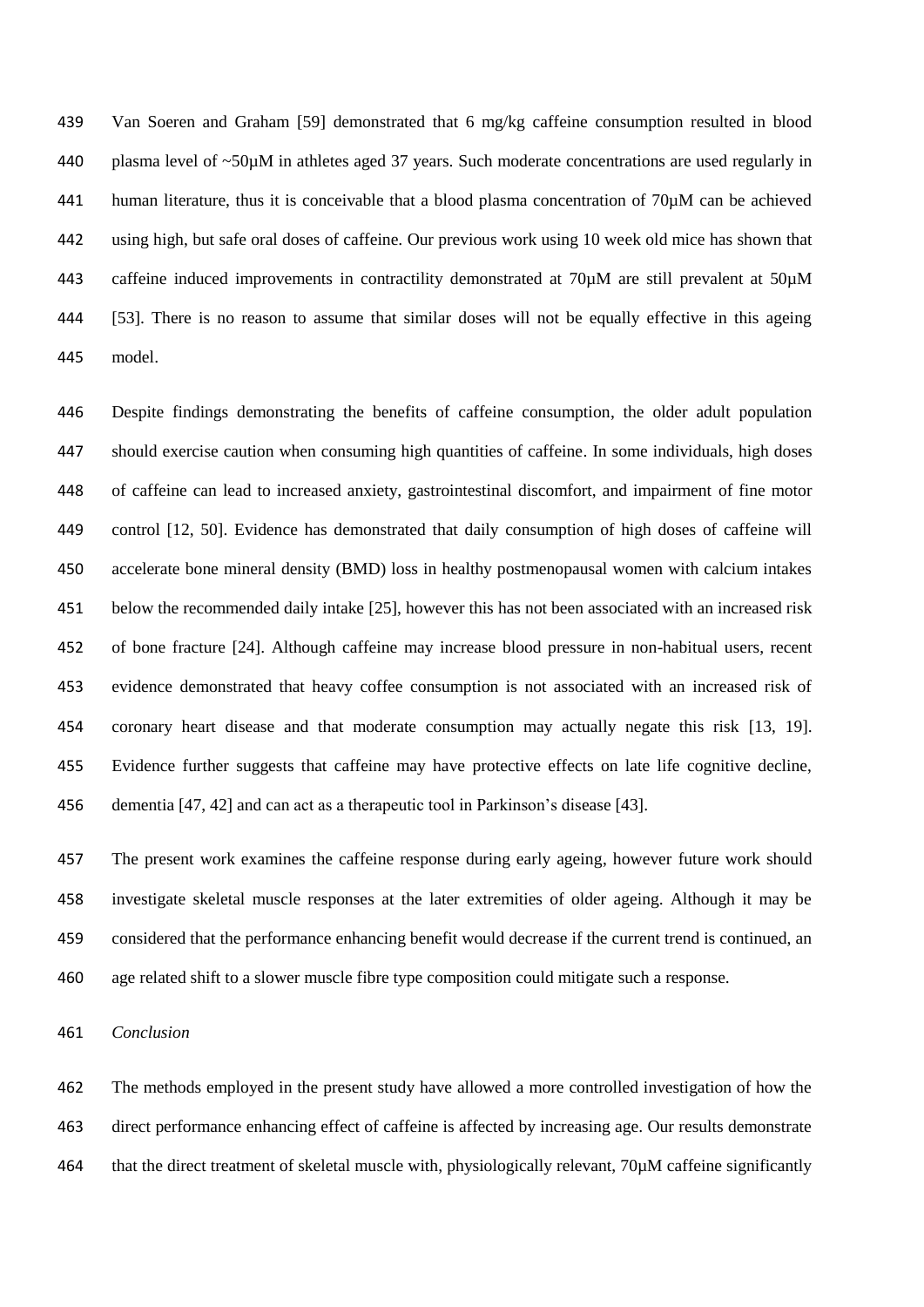Van Soeren and Graham [59] demonstrated that 6 mg/kg caffeine consumption resulted in blood plasma level of ~50µM in athletes aged 37 years. Such moderate concentrations are used regularly in human literature, thus it is conceivable that a blood plasma concentration of 70µM can be achieved using high, but safe oral doses of caffeine. Our previous work using 10 week old mice has shown that caffeine induced improvements in contractility demonstrated at 70µM are still prevalent at 50µM [53]. There is no reason to assume that similar doses will not be equally effective in this ageing model.

 Despite findings demonstrating the benefits of caffeine consumption, the older adult population should exercise caution when consuming high quantities of caffeine. In some individuals, high doses of caffeine can lead to increased anxiety, gastrointestinal discomfort, and impairment of fine motor control [12, 50]. Evidence has demonstrated that daily consumption of high doses of caffeine will accelerate bone mineral density (BMD) loss in healthy postmenopausal women with calcium intakes below the recommended daily intake [25], however this has not been associated with an increased risk of bone fracture [24]. Although caffeine may increase blood pressure in non-habitual users, recent evidence demonstrated that heavy coffee consumption is not associated with an increased risk of coronary heart disease and that moderate consumption may actually negate this risk [13, 19]. Evidence further suggests that caffeine may have protective effects on late life cognitive decline, dementia [47, 42] and can act as a therapeutic tool in Parkinson's disease [43].

 The present work examines the caffeine response during early ageing, however future work should investigate skeletal muscle responses at the later extremities of older ageing. Although it may be considered that the performance enhancing benefit would decrease if the current trend is continued, an age related shift to a slower muscle fibre type composition could mitigate such a response.

*Conclusion*

 The methods employed in the present study have allowed a more controlled investigation of how the direct performance enhancing effect of caffeine is affected by increasing age. Our results demonstrate that the direct treatment of skeletal muscle with, physiologically relevant, 70µM caffeine significantly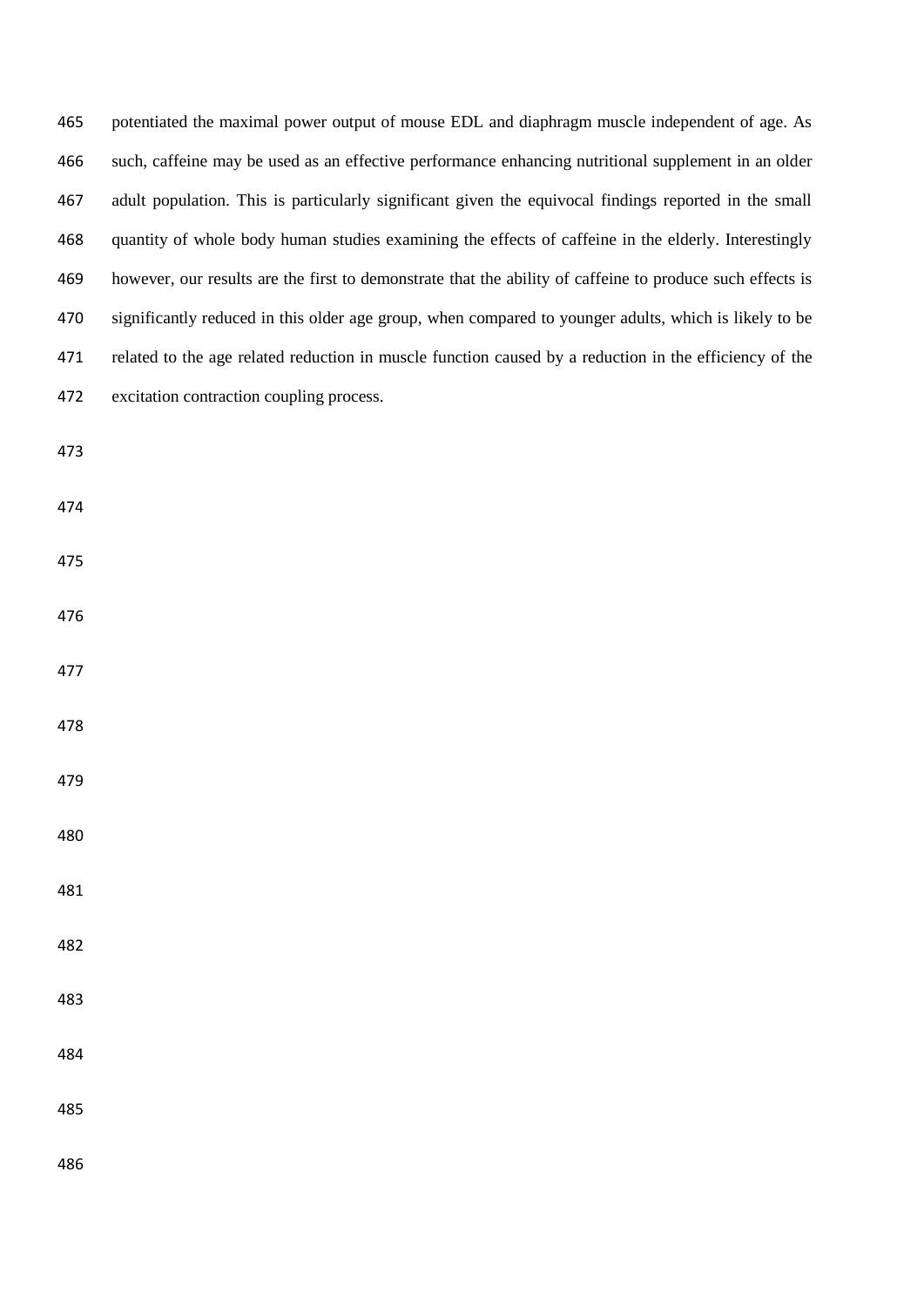| 465 | potentiated the maximal power output of mouse EDL and diaphragm muscle independent of age. As             |
|-----|-----------------------------------------------------------------------------------------------------------|
| 466 | such, caffeine may be used as an effective performance enhancing nutritional supplement in an older       |
| 467 | adult population. This is particularly significant given the equivocal findings reported in the small     |
| 468 | quantity of whole body human studies examining the effects of caffeine in the elderly. Interestingly      |
| 469 | however, our results are the first to demonstrate that the ability of caffeine to produce such effects is |
| 470 | significantly reduced in this older age group, when compared to younger adults, which is likely to be     |
| 471 | related to the age related reduction in muscle function caused by a reduction in the efficiency of the    |
| 472 | excitation contraction coupling process.                                                                  |
| 473 |                                                                                                           |
| 474 |                                                                                                           |
| 475 |                                                                                                           |
| 476 |                                                                                                           |
| 477 |                                                                                                           |
| 478 |                                                                                                           |
| 479 |                                                                                                           |
| 480 |                                                                                                           |
| 481 |                                                                                                           |
| 482 |                                                                                                           |
| 483 |                                                                                                           |
| 484 |                                                                                                           |
| 485 |                                                                                                           |
| 486 |                                                                                                           |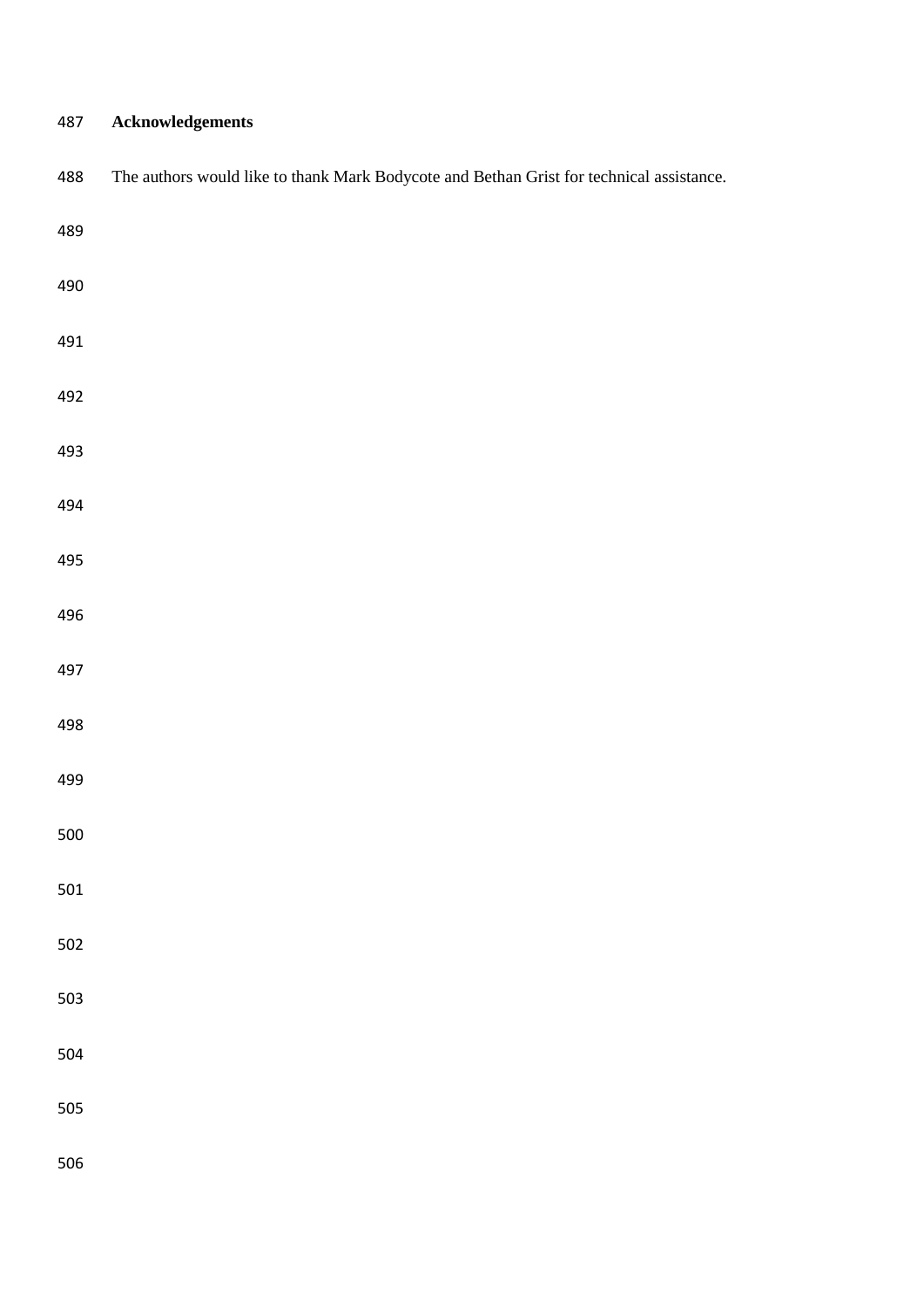# **Acknowledgements**

| 488 | The authors would like to thank Mark Bodycote and Bethan Grist for technical assistance. |
|-----|------------------------------------------------------------------------------------------|
| 489 |                                                                                          |
| 490 |                                                                                          |
| 491 |                                                                                          |
| 492 |                                                                                          |
| 493 |                                                                                          |
| 494 |                                                                                          |
| 495 |                                                                                          |
| 496 |                                                                                          |
| 497 |                                                                                          |
| 498 |                                                                                          |
| 499 |                                                                                          |
| 500 |                                                                                          |
| 501 |                                                                                          |
| 502 |                                                                                          |
| 503 |                                                                                          |
| 504 |                                                                                          |
| 505 |                                                                                          |
| 506 |                                                                                          |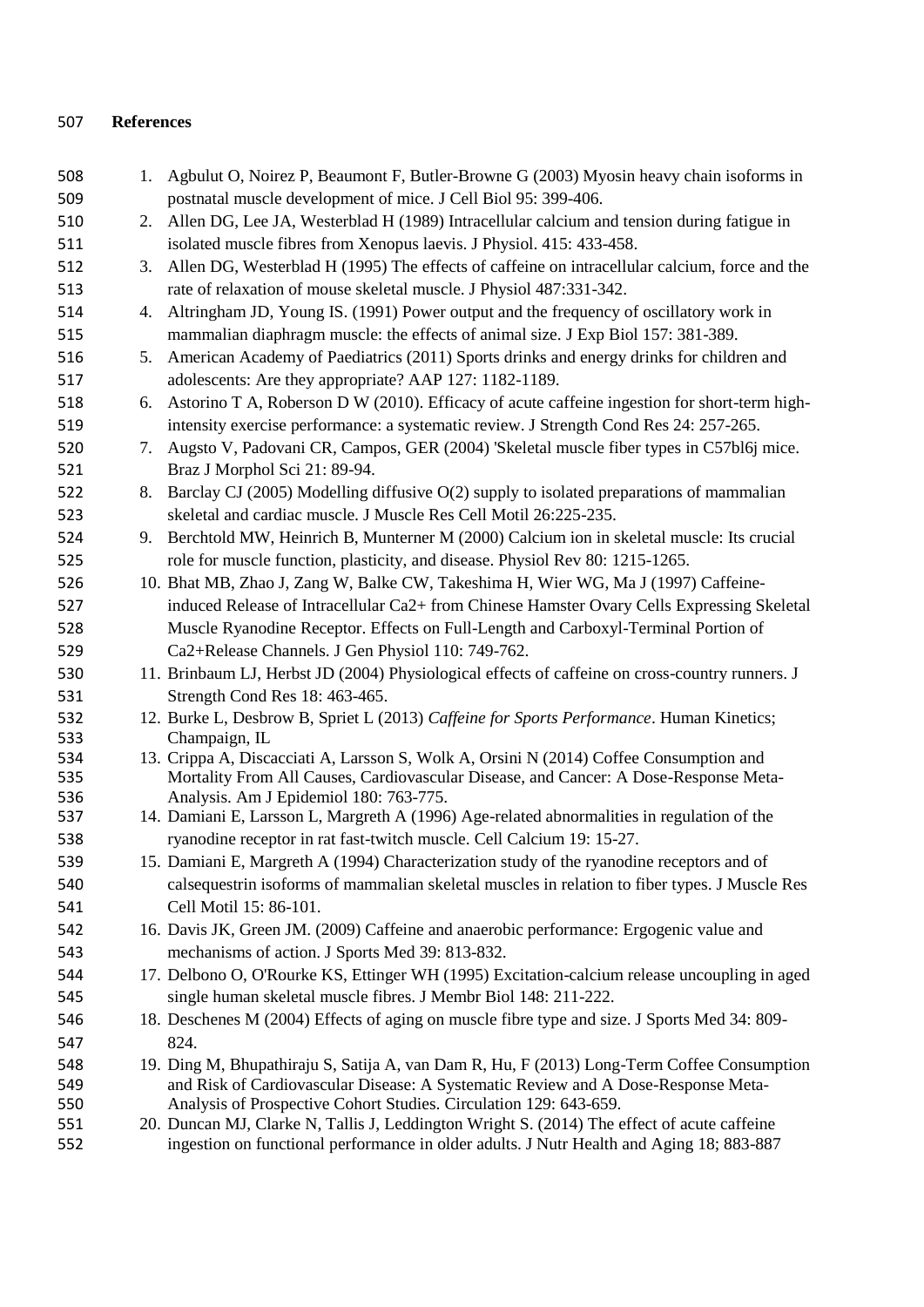## **References**

| 508 |    | 1. Agbulut O, Noirez P, Beaumont F, Butler-Browne G (2003) Myosin heavy chain isoforms in       |
|-----|----|-------------------------------------------------------------------------------------------------|
| 509 |    | postnatal muscle development of mice. J Cell Biol 95: 399-406.                                  |
| 510 |    | 2. Allen DG, Lee JA, Westerblad H (1989) Intracellular calcium and tension during fatigue in    |
| 511 |    | isolated muscle fibres from Xenopus laevis. J Physiol. 415: 433-458.                            |
| 512 | 3. | Allen DG, Westerblad H (1995) The effects of caffeine on intracellular calcium, force and the   |
| 513 |    | rate of relaxation of mouse skeletal muscle. J Physiol 487:331-342.                             |
| 514 | 4. | Altringham JD, Young IS. (1991) Power output and the frequency of oscillatory work in           |
| 515 |    | mammalian diaphragm muscle: the effects of animal size. J Exp Biol 157: 381-389.                |
| 516 |    | 5. American Academy of Paediatrics (2011) Sports drinks and energy drinks for children and      |
| 517 |    | adolescents: Are they appropriate? AAP 127: 1182-1189.                                          |
| 518 | 6. | Astorino T A, Roberson D W (2010). Efficacy of acute caffeine ingestion for short-term high-    |
| 519 |    | intensity exercise performance: a systematic review. J Strength Cond Res 24: 257-265.           |
| 520 | 7. | Augsto V, Padovani CR, Campos, GER (2004) 'Skeletal muscle fiber types in C57bl6j mice.         |
| 521 |    | Braz J Morphol Sci 21: 89-94.                                                                   |
| 522 | 8. | Barclay CJ (2005) Modelling diffusive $O(2)$ supply to isolated preparations of mammalian       |
| 523 |    | skeletal and cardiac muscle. J Muscle Res Cell Motil 26:225-235.                                |
| 524 |    | 9. Berchtold MW, Heinrich B, Munterner M (2000) Calcium ion in skeletal muscle: Its crucial     |
| 525 |    | role for muscle function, plasticity, and disease. Physiol Rev 80: 1215-1265.                   |
| 526 |    | 10. Bhat MB, Zhao J, Zang W, Balke CW, Takeshima H, Wier WG, Ma J (1997) Caffeine-              |
| 527 |    | induced Release of Intracellular Ca2+ from Chinese Hamster Ovary Cells Expressing Skeletal      |
| 528 |    | Muscle Ryanodine Receptor. Effects on Full-Length and Carboxyl-Terminal Portion of              |
| 529 |    | Ca2+Release Channels. J Gen Physiol 110: 749-762.                                               |
| 530 |    | 11. Brinbaum LJ, Herbst JD (2004) Physiological effects of caffeine on cross-country runners. J |
| 531 |    | Strength Cond Res 18: 463-465.                                                                  |
| 532 |    | 12. Burke L, Desbrow B, Spriet L (2013) Caffeine for Sports Performance. Human Kinetics;        |
| 533 |    | Champaign, IL                                                                                   |
| 534 |    | 13. Crippa A, Discacciati A, Larsson S, Wolk A, Orsini N (2014) Coffee Consumption and          |
| 535 |    | Mortality From All Causes, Cardiovascular Disease, and Cancer: A Dose-Response Meta-            |
| 536 |    | Analysis. Am J Epidemiol 180: 763-775.                                                          |
| 537 |    | 14. Damiani E, Larsson L, Margreth A (1996) Age-related abnormalities in regulation of the      |
| 538 |    | ryanodine receptor in rat fast-twitch muscle. Cell Calcium 19: 15-27.                           |
| 539 |    | 15. Damiani E, Margreth A (1994) Characterization study of the ryanodine receptors and of       |
| 540 |    | calsequestrin isoforms of mammalian skeletal muscles in relation to fiber types. J Muscle Res   |
| 541 |    | Cell Motil 15: 86-101.                                                                          |
| 542 |    | 16. Davis JK, Green JM. (2009) Caffeine and anaerobic performance: Ergogenic value and          |
| 543 |    | mechanisms of action. J Sports Med 39: 813-832.                                                 |
| 544 |    | 17. Delbono O, O'Rourke KS, Ettinger WH (1995) Excitation-calcium release uncoupling in aged    |
| 545 |    | single human skeletal muscle fibres. J Membr Biol 148: 211-222.                                 |
| 546 |    | 18. Deschenes M (2004) Effects of aging on muscle fibre type and size. J Sports Med 34: 809-    |
| 547 |    | 824.                                                                                            |
| 548 |    | 19. Ding M, Bhupathiraju S, Satija A, van Dam R, Hu, F (2013) Long-Term Coffee Consumption      |
| 549 |    | and Risk of Cardiovascular Disease: A Systematic Review and A Dose-Response Meta-               |
| 550 |    | Analysis of Prospective Cohort Studies. Circulation 129: 643-659.                               |
| 551 |    | 20. Duncan MJ, Clarke N, Tallis J, Leddington Wright S. (2014) The effect of acute caffeine     |
| 552 |    | ingestion on functional performance in older adults. J Nutr Health and Aging 18; 883-887        |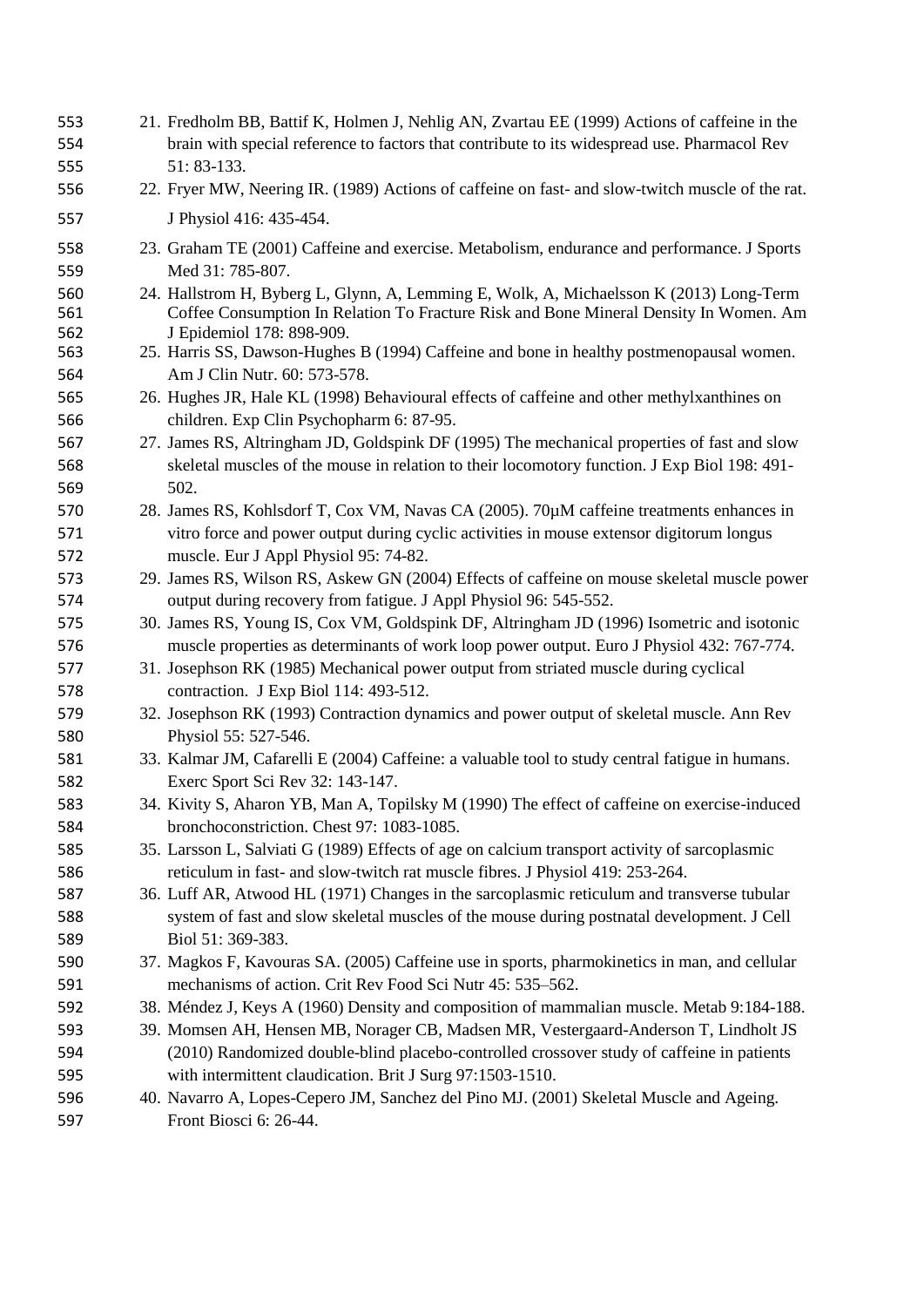| 553<br>554<br>555 | 21. Fredholm BB, Battif K, Holmen J, Nehlig AN, Zvartau EE (1999) Actions of caffeine in the<br>brain with special reference to factors that contribute to its widespread use. Pharmacol Rev<br>51: 83-133.   |
|-------------------|---------------------------------------------------------------------------------------------------------------------------------------------------------------------------------------------------------------|
| 556               | 22. Fryer MW, Neering IR. (1989) Actions of caffeine on fast- and slow-twitch muscle of the rat.                                                                                                              |
| 557               | J Physiol 416: 435-454.                                                                                                                                                                                       |
| 558               | 23. Graham TE (2001) Caffeine and exercise. Metabolism, endurance and performance. J Sports                                                                                                                   |
| 559               | Med 31: 785-807.                                                                                                                                                                                              |
| 560<br>561        | 24. Hallstrom H, Byberg L, Glynn, A, Lemming E, Wolk, A, Michaelsson K (2013) Long-Term<br>Coffee Consumption In Relation To Fracture Risk and Bone Mineral Density In Women. Am<br>J Epidemiol 178: 898-909. |
| 562<br>563        | 25. Harris SS, Dawson-Hughes B (1994) Caffeine and bone in healthy postmenopausal women.                                                                                                                      |
| 564               | Am J Clin Nutr. 60: 573-578.                                                                                                                                                                                  |
| 565               | 26. Hughes JR, Hale KL (1998) Behavioural effects of caffeine and other methylxanthines on                                                                                                                    |
| 566               | children. Exp Clin Psychopharm 6: 87-95.                                                                                                                                                                      |
| 567               | 27. James RS, Altringham JD, Goldspink DF (1995) The mechanical properties of fast and slow                                                                                                                   |
| 568               | skeletal muscles of the mouse in relation to their locomotory function. J Exp Biol 198: 491-                                                                                                                  |
| 569               | 502.                                                                                                                                                                                                          |
| 570               | 28. James RS, Kohlsdorf T, Cox VM, Navas CA (2005). 70µM caffeine treatments enhances in                                                                                                                      |
| 571               | vitro force and power output during cyclic activities in mouse extensor digitorum longus                                                                                                                      |
| 572               | muscle. Eur J Appl Physiol 95: 74-82.                                                                                                                                                                         |
| 573               | 29. James RS, Wilson RS, Askew GN (2004) Effects of caffeine on mouse skeletal muscle power                                                                                                                   |
| 574               | output during recovery from fatigue. J Appl Physiol 96: 545-552.                                                                                                                                              |
| 575               | 30. James RS, Young IS, Cox VM, Goldspink DF, Altringham JD (1996) Isometric and isotonic                                                                                                                     |
| 576               | muscle properties as determinants of work loop power output. Euro J Physiol 432: 767-774.                                                                                                                     |
| 577               | 31. Josephson RK (1985) Mechanical power output from striated muscle during cyclical                                                                                                                          |
| 578               | contraction. J Exp Biol 114: 493-512.                                                                                                                                                                         |
| 579               | 32. Josephson RK (1993) Contraction dynamics and power output of skeletal muscle. Ann Rev                                                                                                                     |
| 580               | Physiol 55: 527-546.                                                                                                                                                                                          |
| 581               | 33. Kalmar JM, Cafarelli E (2004) Caffeine: a valuable tool to study central fatigue in humans.                                                                                                               |
| 582               | Exerc Sport Sci Rev 32: 143-147.                                                                                                                                                                              |
| 583               | 34. Kivity S, Aharon YB, Man A, Topilsky M (1990) The effect of caffeine on exercise-induced                                                                                                                  |
| 584               | bronchoconstriction. Chest 97: 1083-1085.                                                                                                                                                                     |
| 585               | 35. Larsson L, Salviati G (1989) Effects of age on calcium transport activity of sarcoplasmic                                                                                                                 |
| 586               | reticulum in fast- and slow-twitch rat muscle fibres. J Physiol 419: 253-264.                                                                                                                                 |
| 587               | 36. Luff AR, Atwood HL (1971) Changes in the sarcoplasmic reticulum and transverse tubular                                                                                                                    |
| 588               | system of fast and slow skeletal muscles of the mouse during postnatal development. J Cell                                                                                                                    |
| 589               | Biol 51: 369-383.                                                                                                                                                                                             |
| 590               | 37. Magkos F, Kavouras SA. (2005) Caffeine use in sports, pharmokinetics in man, and cellular                                                                                                                 |
| 591               | mechanisms of action. Crit Rev Food Sci Nutr 45: 535–562.                                                                                                                                                     |
| 592               | 38. Méndez J, Keys A (1960) Density and composition of mammalian muscle. Metab 9:184-188.                                                                                                                     |
| 593               | 39. Momsen AH, Hensen MB, Norager CB, Madsen MR, Vestergaard-Anderson T, Lindholt JS                                                                                                                          |
| 594               | (2010) Randomized double-blind placebo-controlled crossover study of caffeine in patients                                                                                                                     |
| 595               | with intermittent claudication. Brit J Surg 97:1503-1510.                                                                                                                                                     |
| 596               | 40. Navarro A, Lopes-Cepero JM, Sanchez del Pino MJ. (2001) Skeletal Muscle and Ageing.                                                                                                                       |
| 597               | Front Biosci 6: 26-44.                                                                                                                                                                                        |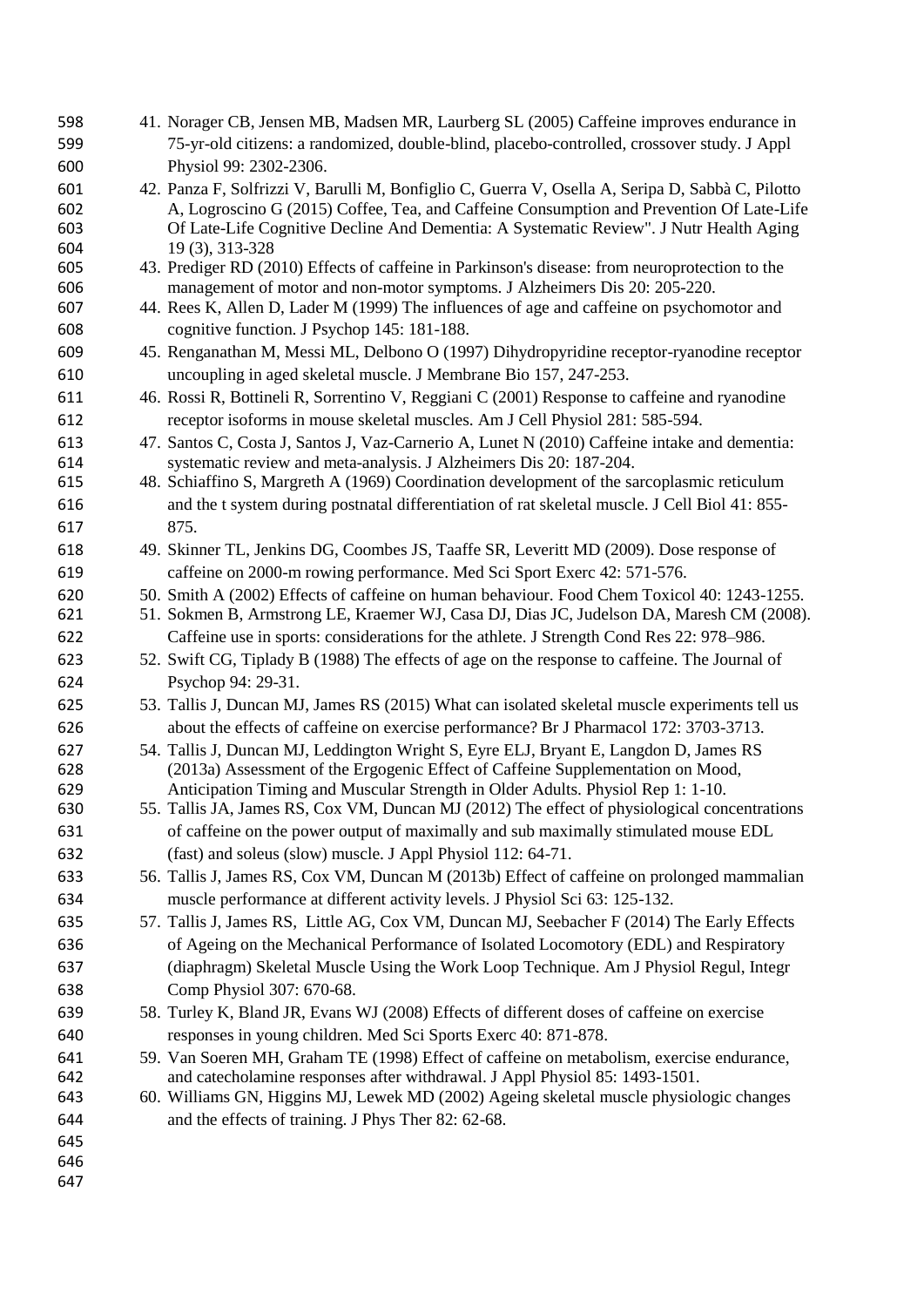| 598        | 41. Norager CB, Jensen MB, Madsen MR, Laurberg SL (2005) Caffeine improves endurance in                                                                                  |
|------------|--------------------------------------------------------------------------------------------------------------------------------------------------------------------------|
| 599        | 75-yr-old citizens: a randomized, double-blind, placebo-controlled, crossover study. J Appl                                                                              |
| 600        | Physiol 99: 2302-2306.                                                                                                                                                   |
| 601        | 42. Panza F, Solfrizzi V, Barulli M, Bonfiglio C, Guerra V, Osella A, Seripa D, Sabbà C, Pilotto                                                                         |
| 602        | A, Logroscino G (2015) Coffee, Tea, and Caffeine Consumption and Prevention Of Late-Life                                                                                 |
| 603        | Of Late-Life Cognitive Decline And Dementia: A Systematic Review". J Nutr Health Aging                                                                                   |
| 604        | 19 (3), 313-328                                                                                                                                                          |
| 605        | 43. Prediger RD (2010) Effects of caffeine in Parkinson's disease: from neuroprotection to the                                                                           |
| 606<br>607 | management of motor and non-motor symptoms. J Alzheimers Dis 20: 205-220.<br>44. Rees K, Allen D, Lader M (1999) The influences of age and caffeine on psychomotor and   |
| 608        | cognitive function. J Psychop 145: 181-188.                                                                                                                              |
|            |                                                                                                                                                                          |
| 609        | 45. Renganathan M, Messi ML, Delbono O (1997) Dihydropyridine receptor-ryanodine receptor                                                                                |
| 610        | uncoupling in aged skeletal muscle. J Membrane Bio 157, 247-253.                                                                                                         |
| 611        | 46. Rossi R, Bottineli R, Sorrentino V, Reggiani C (2001) Response to caffeine and ryanodine                                                                             |
| 612        | receptor isoforms in mouse skeletal muscles. Am J Cell Physiol 281: 585-594.                                                                                             |
| 613<br>614 | 47. Santos C, Costa J, Santos J, Vaz-Carnerio A, Lunet N (2010) Caffeine intake and dementia:<br>systematic review and meta-analysis. J Alzheimers Dis 20: 187-204.      |
| 615        | 48. Schiaffino S, Margreth A (1969) Coordination development of the sarcoplasmic reticulum                                                                               |
| 616        | and the t system during postnatal differentiation of rat skeletal muscle. J Cell Biol 41: 855-                                                                           |
| 617        | 875.                                                                                                                                                                     |
| 618        | 49. Skinner TL, Jenkins DG, Coombes JS, Taaffe SR, Leveritt MD (2009). Dose response of                                                                                  |
| 619        | caffeine on 2000-m rowing performance. Med Sci Sport Exerc 42: 571-576.                                                                                                  |
| 620        | 50. Smith A (2002) Effects of caffeine on human behaviour. Food Chem Toxicol 40: 1243-1255.                                                                              |
| 621        | 51. Sokmen B, Armstrong LE, Kraemer WJ, Casa DJ, Dias JC, Judelson DA, Maresh CM (2008).                                                                                 |
| 622        | Caffeine use in sports: considerations for the athlete. J Strength Cond Res 22: 978–986.                                                                                 |
| 623        | 52. Swift CG, Tiplady B (1988) The effects of age on the response to caffeine. The Journal of                                                                            |
| 624        | Psychop 94: 29-31.                                                                                                                                                       |
| 625        |                                                                                                                                                                          |
|            | 53. Tallis J, Duncan MJ, James RS (2015) What can isolated skeletal muscle experiments tell us                                                                           |
| 626        | about the effects of caffeine on exercise performance? Br J Pharmacol 172: 3703-3713.                                                                                    |
| 627<br>628 | 54. Tallis J, Duncan MJ, Leddington Wright S, Eyre ELJ, Bryant E, Langdon D, James RS<br>(2013a) Assessment of the Ergogenic Effect of Caffeine Supplementation on Mood, |
| 629        | Anticipation Timing and Muscular Strength in Older Adults. Physiol Rep 1: 1-10.                                                                                          |
| 630        | 55. Tallis JA, James RS, Cox VM, Duncan MJ (2012) The effect of physiological concentrations                                                                             |
| 631        | of caffeine on the power output of maximally and sub maximally stimulated mouse EDL                                                                                      |
| 632        | (fast) and soleus (slow) muscle. J Appl Physiol 112: 64-71.                                                                                                              |
| 633        | 56. Tallis J, James RS, Cox VM, Duncan M (2013b) Effect of caffeine on prolonged mammalian                                                                               |
| 634        | muscle performance at different activity levels. J Physiol Sci 63: 125-132.                                                                                              |
| 635        | 57. Tallis J, James RS, Little AG, Cox VM, Duncan MJ, Seebacher F (2014) The Early Effects                                                                               |
| 636        | of Ageing on the Mechanical Performance of Isolated Locomotory (EDL) and Respiratory                                                                                     |
| 637        | (diaphragm) Skeletal Muscle Using the Work Loop Technique. Am J Physiol Regul, Integr                                                                                    |
| 638        | Comp Physiol 307: 670-68.                                                                                                                                                |
| 639        | 58. Turley K, Bland JR, Evans WJ (2008) Effects of different doses of caffeine on exercise                                                                               |
| 640        | responses in young children. Med Sci Sports Exerc 40: 871-878.                                                                                                           |
| 641        | 59. Van Soeren MH, Graham TE (1998) Effect of caffeine on metabolism, exercise endurance,                                                                                |
| 642        | and catecholamine responses after withdrawal. J Appl Physiol 85: 1493-1501.                                                                                              |
| 643        | 60. Williams GN, Higgins MJ, Lewek MD (2002) Ageing skeletal muscle physiologic changes                                                                                  |
| 644        | and the effects of training. J Phys Ther 82: 62-68.                                                                                                                      |
| 645        |                                                                                                                                                                          |
| 646        |                                                                                                                                                                          |
| 647        |                                                                                                                                                                          |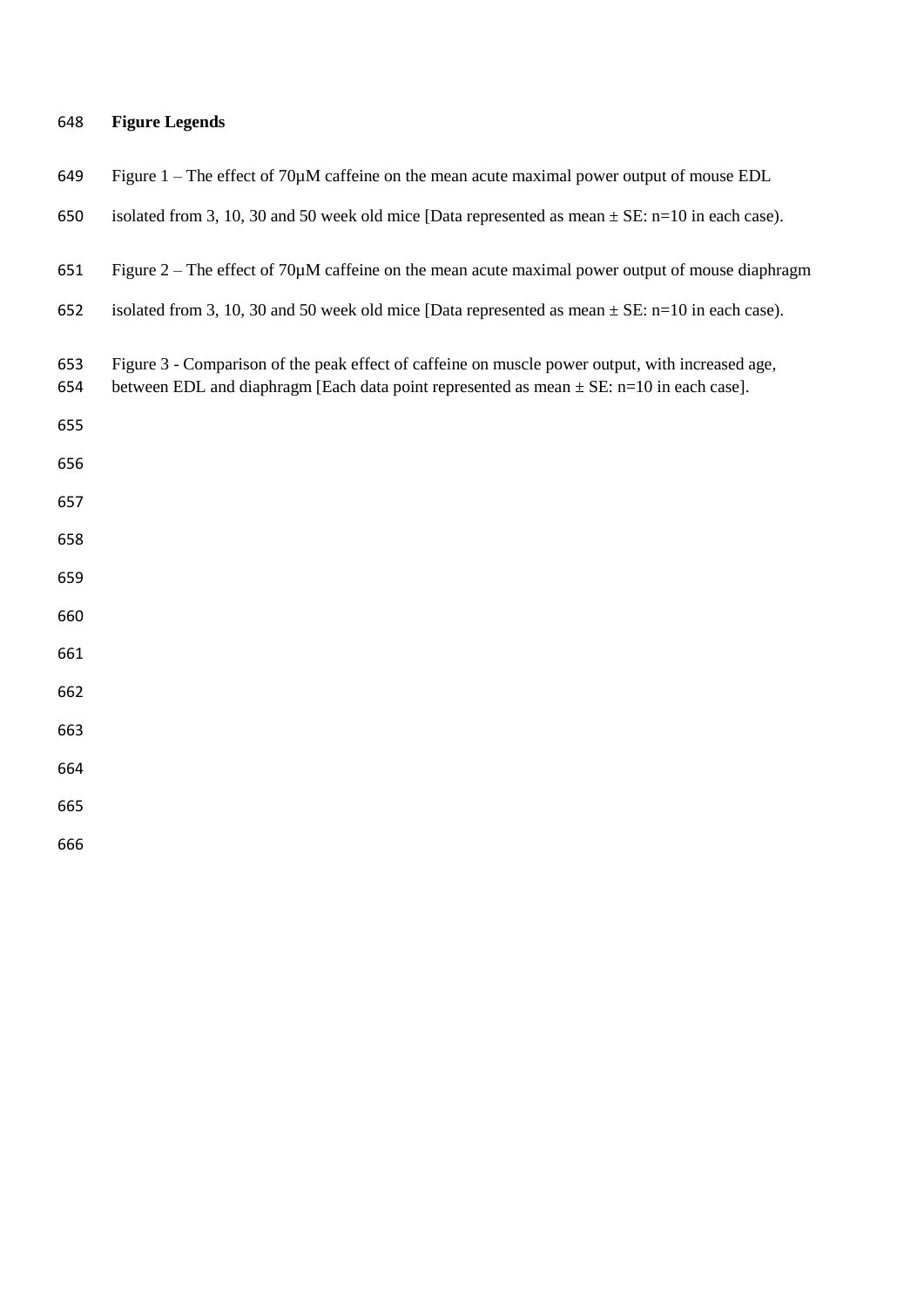### **Figure Legends**

| 649 |  |  | Figure $1 -$ The effect of $70\mu$ M caffeine on the mean acute maximal power output of mouse EDL |
|-----|--|--|---------------------------------------------------------------------------------------------------|
|     |  |  |                                                                                                   |

650 isolated from 3, 10, 30 and 50 week old mice [Data represented as mean  $\pm$  SE: n=10 in each case).

Figure 2 – The effect of 70µM caffeine on the mean acute maximal power output of mouse diaphragm

- isolated from 3, 10, 30 and 50 week old mice [Data represented as mean ± SE: n=10 in each case).
- Figure 3 Comparison of the peak effect of caffeine on muscle power output, with increased age,
- 654 between EDL and diaphragm [Each data point represented as mean  $\pm$  SE: n=10 in each case].
- 
- 
- 
- 
- 
- 
- 
- 
- 
- 
-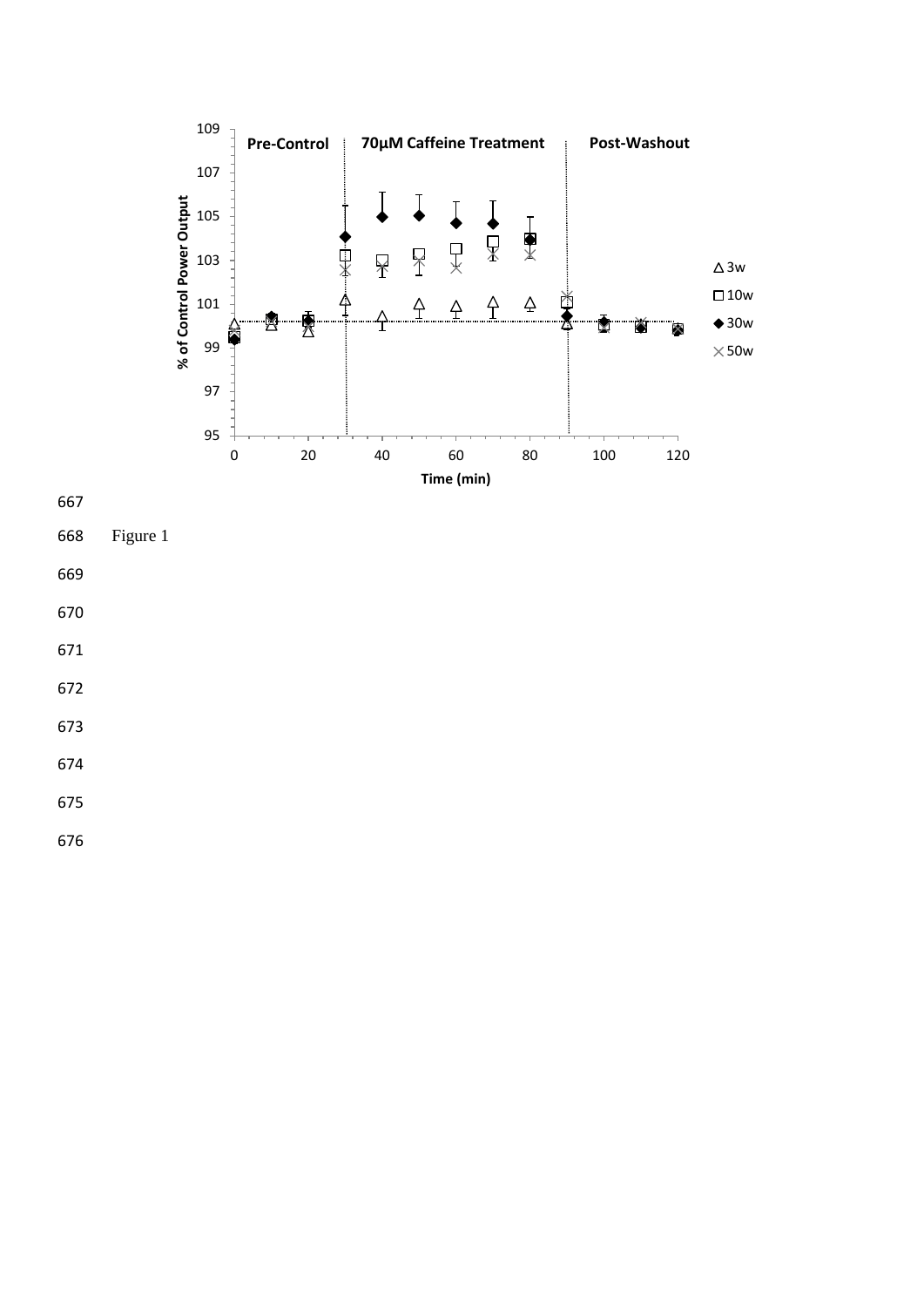

Figure 1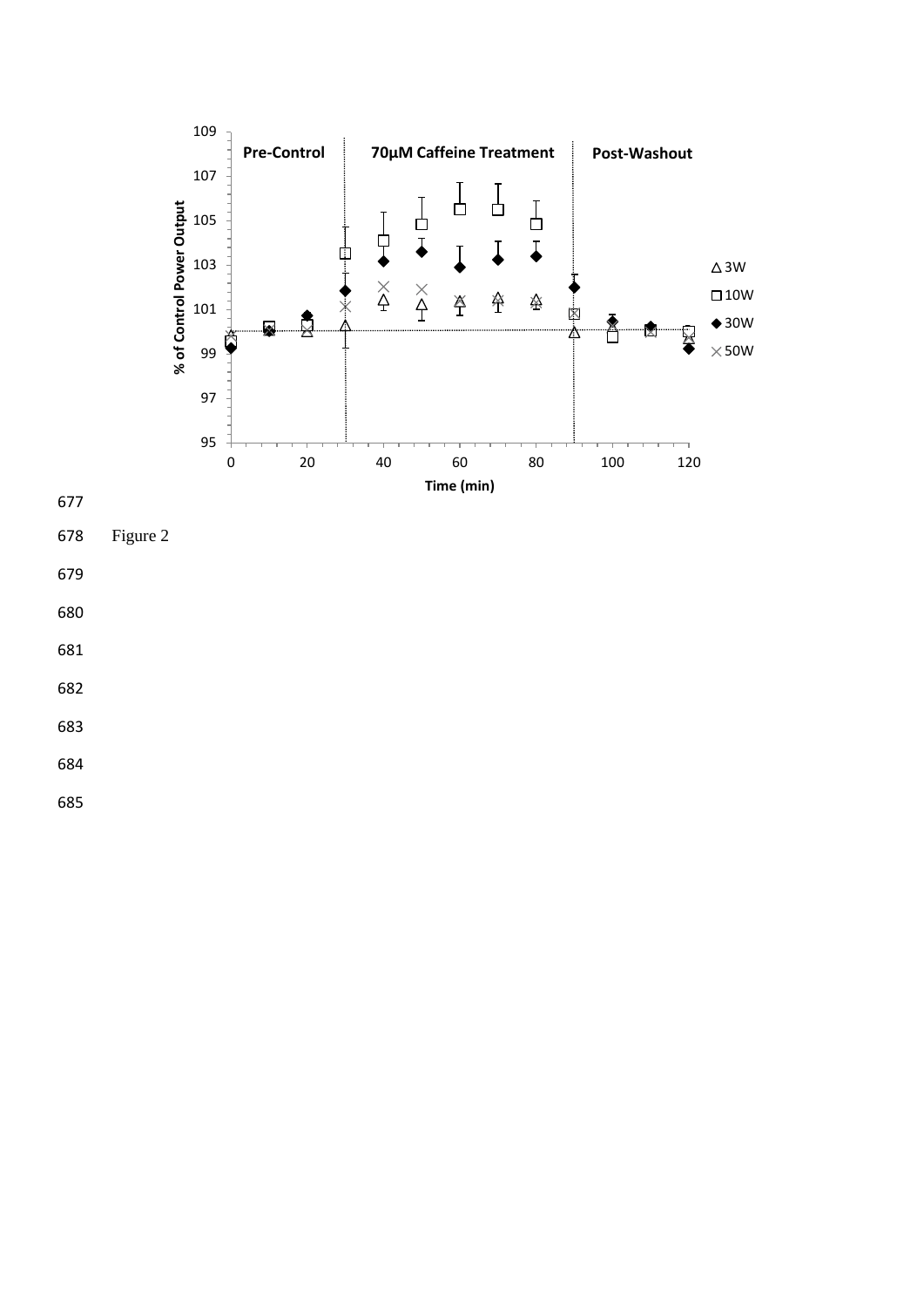

Figure 2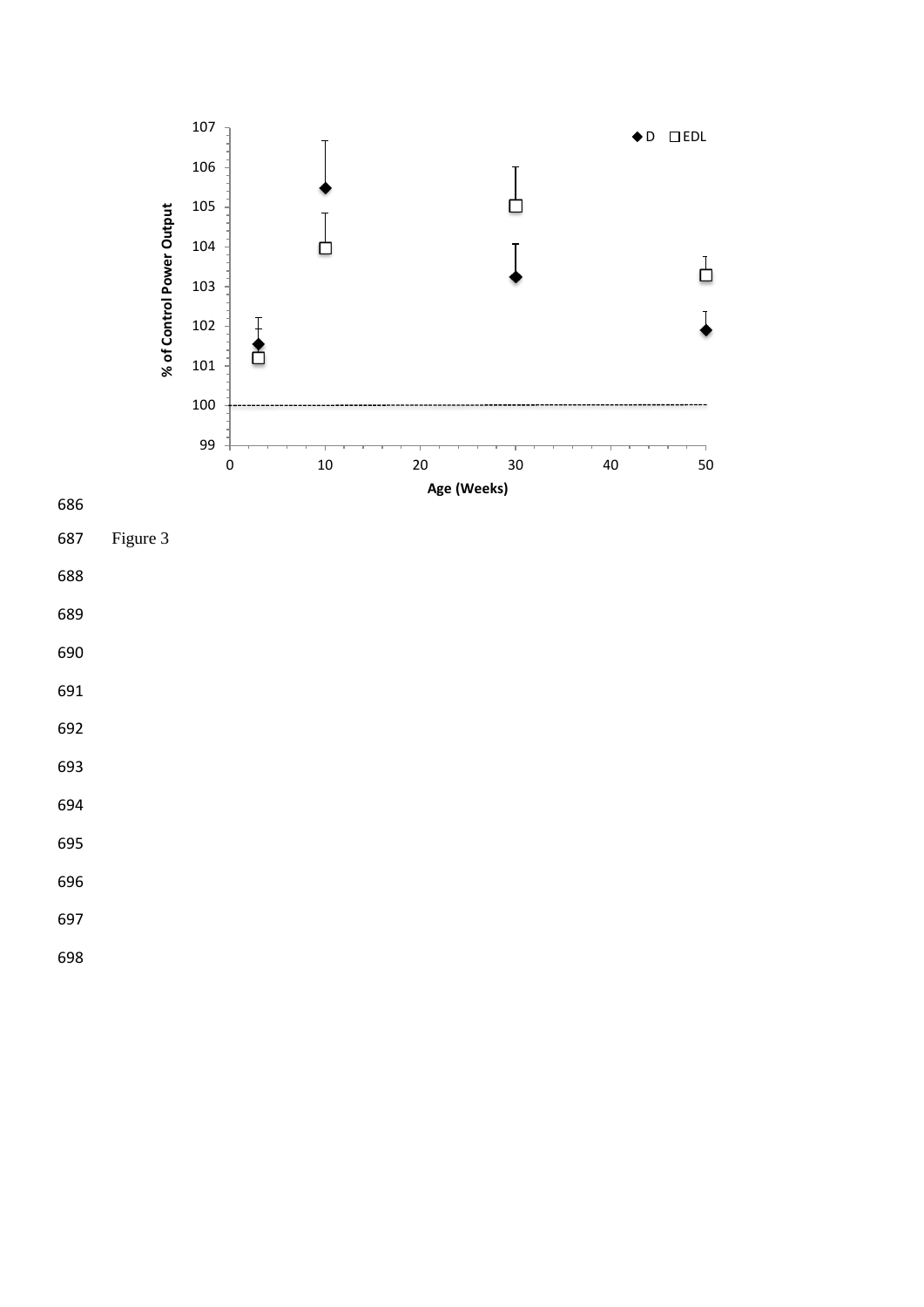